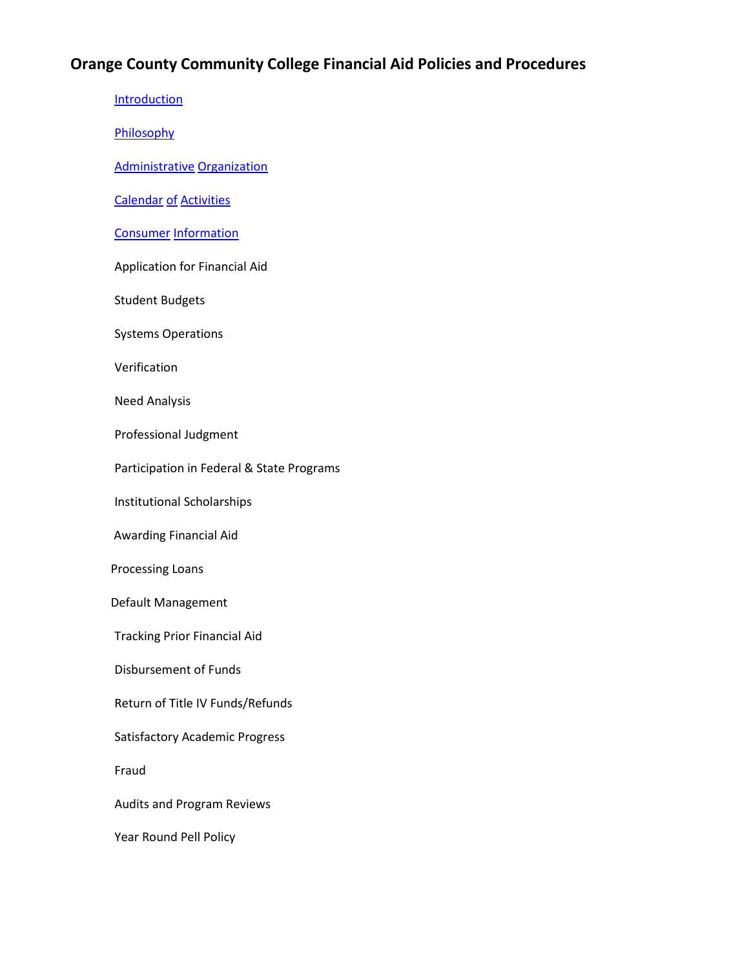#### **Orange County Community College Financial Aid Policies and Procedures**

**[Introduction](#page-1-0) [Philosophy](#page-2-0)** [Administrative](#page-4-0) [Organization](#page-4-0) [Calendar](#page-7-0) [of](#page-7-0) [Activities](#page-7-0) [Consumer](#page-7-1) [Information](#page-7-1) Application for Financial Aid Student Budgets Systems Operations Verification Need Analysis Professional Judgment Participation in Federal & State Programs Institutional Scholarships Awarding Financial Aid Processing Loans Default Management Tracking Prior Financial Aid Disbursement of Funds Return of Title IV Funds/Refunds Satisfactory Academic Progress Fraud Audits and Program Reviews Year Round Pell Policy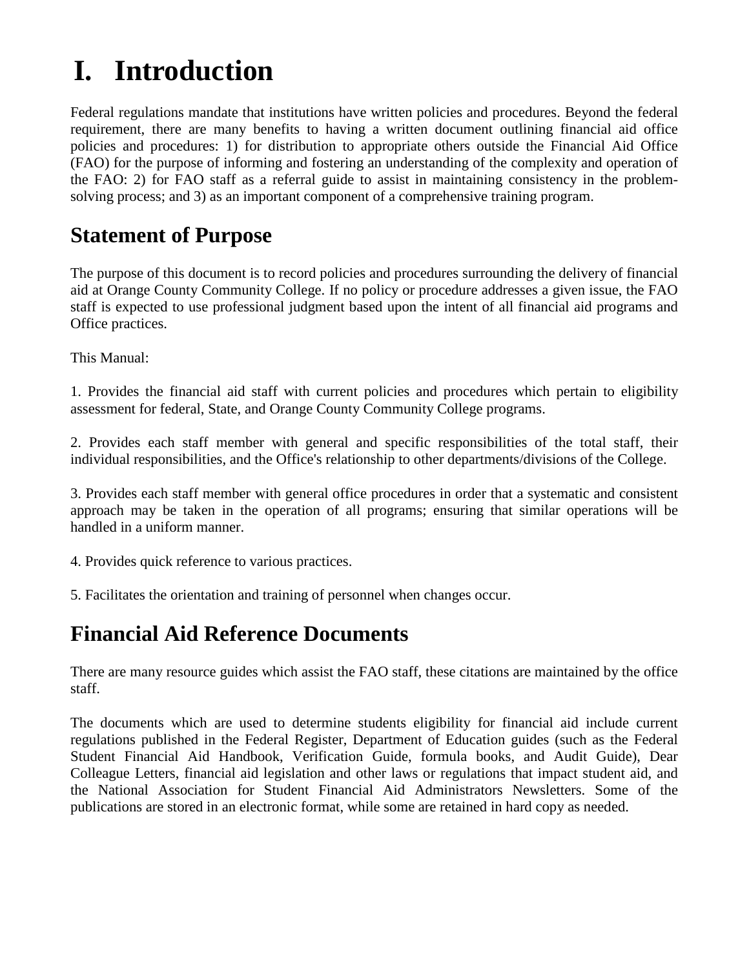## <span id="page-1-0"></span>**I. Introduction**

Federal regulations mandate that institutions have written policies and procedures. Beyond the federal requirement, there are many benefits to having a written document outlining financial aid office policies and procedures: 1) for distribution to appropriate others outside the Financial Aid Office (FAO) for the purpose of informing and fostering an understanding of the complexity and operation of the FAO: 2) for FAO staff as a referral guide to assist in maintaining consistency in the problemsolving process; and 3) as an important component of a comprehensive training program.

### **Statement of Purpose**

The purpose of this document is to record policies and procedures surrounding the delivery of financial aid at Orange County Community College. If no policy or procedure addresses a given issue, the FAO staff is expected to use professional judgment based upon the intent of all financial aid programs and Office practices.

This Manual:

1. Provides the financial aid staff with current policies and procedures which pertain to eligibility assessment for federal, State, and Orange County Community College programs.

2. Provides each staff member with general and specific responsibilities of the total staff, their individual responsibilities, and the Office's relationship to other departments/divisions of the College.

3. Provides each staff member with general office procedures in order that a systematic and consistent approach may be taken in the operation of all programs; ensuring that similar operations will be handled in a uniform manner.

4. Provides quick reference to various practices.

5. Facilitates the orientation and training of personnel when changes occur.

### **Financial Aid Reference Documents**

There are many resource guides which assist the FAO staff, these citations are maintained by the office staff.

The documents which are used to determine students eligibility for financial aid include current regulations published in the Federal Register, Department of Education guides (such as the Federal Student Financial Aid Handbook, Verification Guide, formula books, and Audit Guide), Dear Colleague Letters, financial aid legislation and other laws or regulations that impact student aid, and the National Association for Student Financial Aid Administrators Newsletters. Some of the publications are stored in an electronic format, while some are retained in hard copy as needed.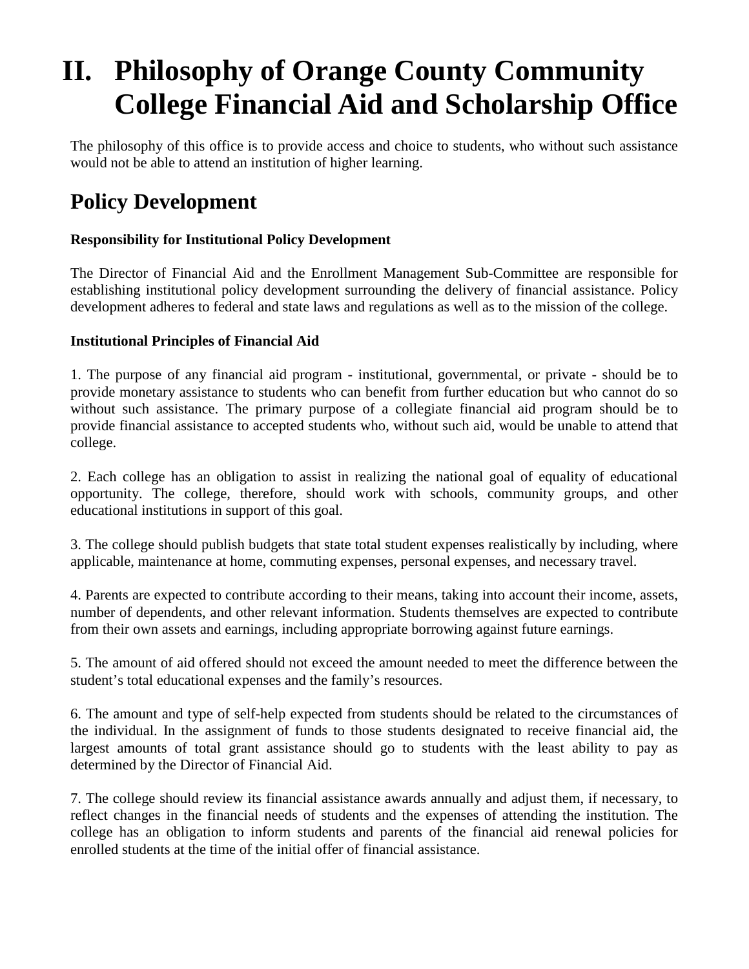## <span id="page-2-0"></span>**II. Philosophy of Orange County Community College Financial Aid and Scholarship Office**

The philosophy of this office is to provide access and choice to students, who without such assistance would not be able to attend an institution of higher learning.

### **Policy Development**

#### **Responsibility for Institutional Policy Development**

The Director of Financial Aid and the Enrollment Management Sub-Committee are responsible for establishing institutional policy development surrounding the delivery of financial assistance. Policy development adheres to federal and state laws and regulations as well as to the mission of the college.

#### **Institutional Principles of Financial Aid**

1. The purpose of any financial aid program - institutional, governmental, or private - should be to provide monetary assistance to students who can benefit from further education but who cannot do so without such assistance. The primary purpose of a collegiate financial aid program should be to provide financial assistance to accepted students who, without such aid, would be unable to attend that college.

2. Each college has an obligation to assist in realizing the national goal of equality of educational opportunity. The college, therefore, should work with schools, community groups, and other educational institutions in support of this goal.

3. The college should publish budgets that state total student expenses realistically by including, where applicable, maintenance at home, commuting expenses, personal expenses, and necessary travel.

4. Parents are expected to contribute according to their means, taking into account their income, assets, number of dependents, and other relevant information. Students themselves are expected to contribute from their own assets and earnings, including appropriate borrowing against future earnings.

5. The amount of aid offered should not exceed the amount needed to meet the difference between the student's total educational expenses and the family's resources.

6. The amount and type of self-help expected from students should be related to the circumstances of the individual. In the assignment of funds to those students designated to receive financial aid, the largest amounts of total grant assistance should go to students with the least ability to pay as determined by the Director of Financial Aid.

7. The college should review its financial assistance awards annually and adjust them, if necessary, to reflect changes in the financial needs of students and the expenses of attending the institution. The college has an obligation to inform students and parents of the financial aid renewal policies for enrolled students at the time of the initial offer of financial assistance.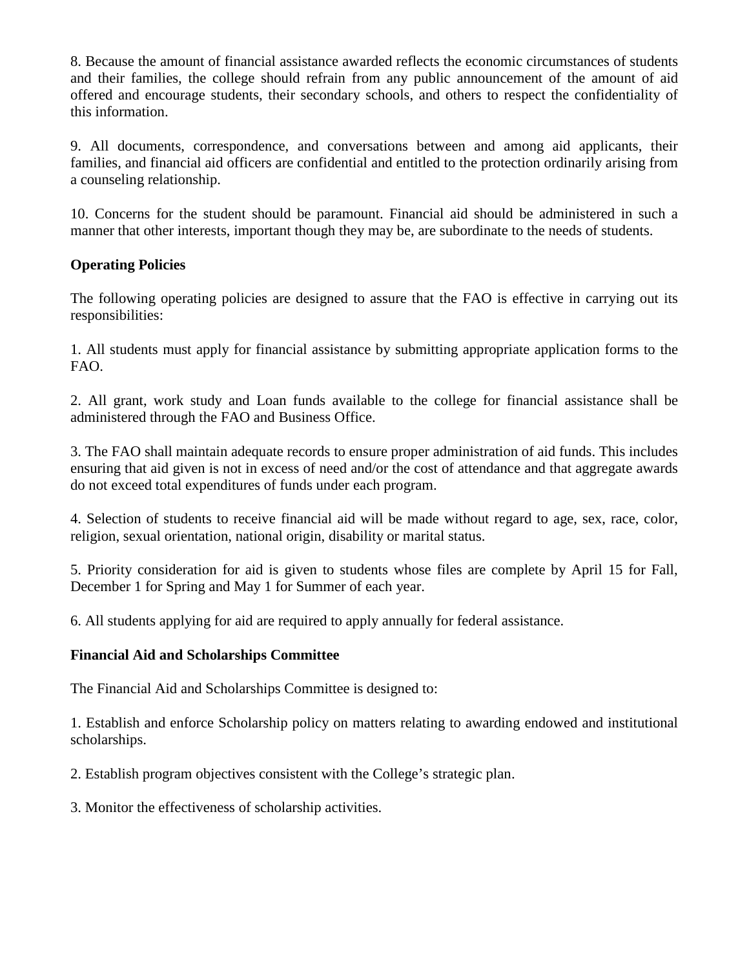8. Because the amount of financial assistance awarded reflects the economic circumstances of students and their families, the college should refrain from any public announcement of the amount of aid offered and encourage students, their secondary schools, and others to respect the confidentiality of this information.

9. All documents, correspondence, and conversations between and among aid applicants, their families, and financial aid officers are confidential and entitled to the protection ordinarily arising from a counseling relationship.

10. Concerns for the student should be paramount. Financial aid should be administered in such a manner that other interests, important though they may be, are subordinate to the needs of students.

#### **Operating Policies**

The following operating policies are designed to assure that the FAO is effective in carrying out its responsibilities:

1. All students must apply for financial assistance by submitting appropriate application forms to the FAO.

2. All grant, work study and Loan funds available to the college for financial assistance shall be administered through the FAO and Business Office.

3. The FAO shall maintain adequate records to ensure proper administration of aid funds. This includes ensuring that aid given is not in excess of need and/or the cost of attendance and that aggregate awards do not exceed total expenditures of funds under each program.

4. Selection of students to receive financial aid will be made without regard to age, sex, race, color, religion, sexual orientation, national origin, disability or marital status.

5. Priority consideration for aid is given to students whose files are complete by April 15 for Fall, December 1 for Spring and May 1 for Summer of each year.

6. All students applying for aid are required to apply annually for federal assistance.

#### **Financial Aid and Scholarships Committee**

The Financial Aid and Scholarships Committee is designed to:

1. Establish and enforce Scholarship policy on matters relating to awarding endowed and institutional scholarships.

2. Establish program objectives consistent with the College's strategic plan.

3. Monitor the effectiveness of scholarship activities.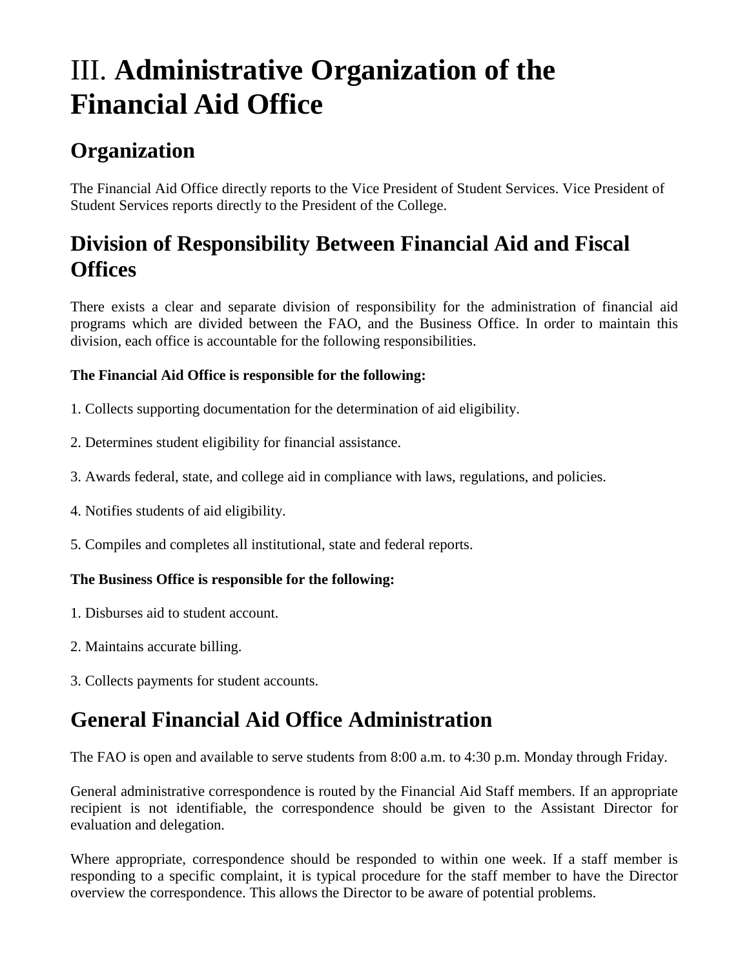## <span id="page-4-0"></span>III. **Administrative Organization of the Financial Aid Office**

### **Organization**

The Financial Aid Office directly reports to the Vice President of Student Services. Vice President of Student Services reports directly to the President of the College.

### **Division of Responsibility Between Financial Aid and Fiscal Offices**

There exists a clear and separate division of responsibility for the administration of financial aid programs which are divided between the FAO, and the Business Office. In order to maintain this division, each office is accountable for the following responsibilities.

#### **The Financial Aid Office is responsible for the following:**

- 1. Collects supporting documentation for the determination of aid eligibility.
- 2. Determines student eligibility for financial assistance.
- 3. Awards federal, state, and college aid in compliance with laws, regulations, and policies.
- 4. Notifies students of aid eligibility.
- 5. Compiles and completes all institutional, state and federal reports.

#### **The Business Office is responsible for the following:**

- 1. Disburses aid to student account.
- 2. Maintains accurate billing.
- 3. Collects payments for student accounts.

### **General Financial Aid Office Administration**

The FAO is open and available to serve students from 8:00 a.m. to 4:30 p.m. Monday through Friday.

General administrative correspondence is routed by the Financial Aid Staff members. If an appropriate recipient is not identifiable, the correspondence should be given to the Assistant Director for evaluation and delegation.

Where appropriate, correspondence should be responded to within one week. If a staff member is responding to a specific complaint, it is typical procedure for the staff member to have the Director overview the correspondence. This allows the Director to be aware of potential problems.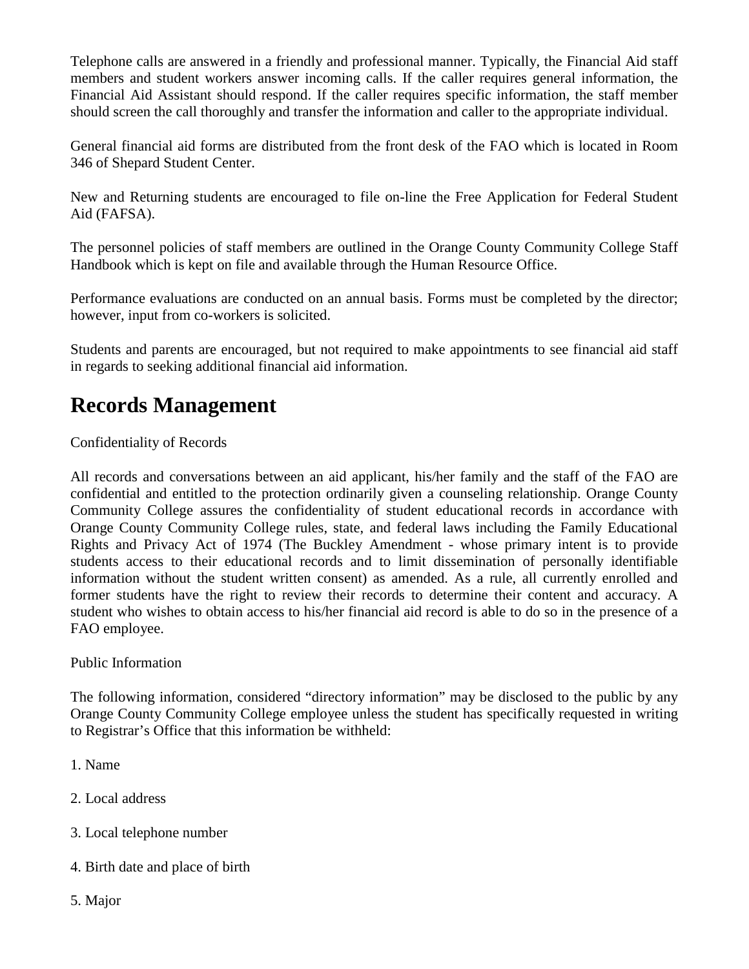Telephone calls are answered in a friendly and professional manner. Typically, the Financial Aid staff members and student workers answer incoming calls. If the caller requires general information, the Financial Aid Assistant should respond. If the caller requires specific information, the staff member should screen the call thoroughly and transfer the information and caller to the appropriate individual.

General financial aid forms are distributed from the front desk of the FAO which is located in Room 346 of Shepard Student Center.

New and Returning students are encouraged to file on-line the Free Application for Federal Student Aid (FAFSA).

The personnel policies of staff members are outlined in the Orange County Community College Staff Handbook which is kept on file and available through the Human Resource Office.

Performance evaluations are conducted on an annual basis. Forms must be completed by the director; however, input from co-workers is solicited.

Students and parents are encouraged, but not required to make appointments to see financial aid staff in regards to seeking additional financial aid information.

### **Records Management**

Confidentiality of Records

All records and conversations between an aid applicant, his/her family and the staff of the FAO are confidential and entitled to the protection ordinarily given a counseling relationship. Orange County Community College assures the confidentiality of student educational records in accordance with Orange County Community College rules, state, and federal laws including the Family Educational Rights and Privacy Act of 1974 (The Buckley Amendment - whose primary intent is to provide students access to their educational records and to limit dissemination of personally identifiable information without the student written consent) as amended. As a rule, all currently enrolled and former students have the right to review their records to determine their content and accuracy. A student who wishes to obtain access to his/her financial aid record is able to do so in the presence of a FAO employee.

Public Information

The following information, considered "directory information" may be disclosed to the public by any Orange County Community College employee unless the student has specifically requested in writing to Registrar's Office that this information be withheld:

- 1. Name
- 2. Local address
- 3. Local telephone number
- 4. Birth date and place of birth
- 5. Major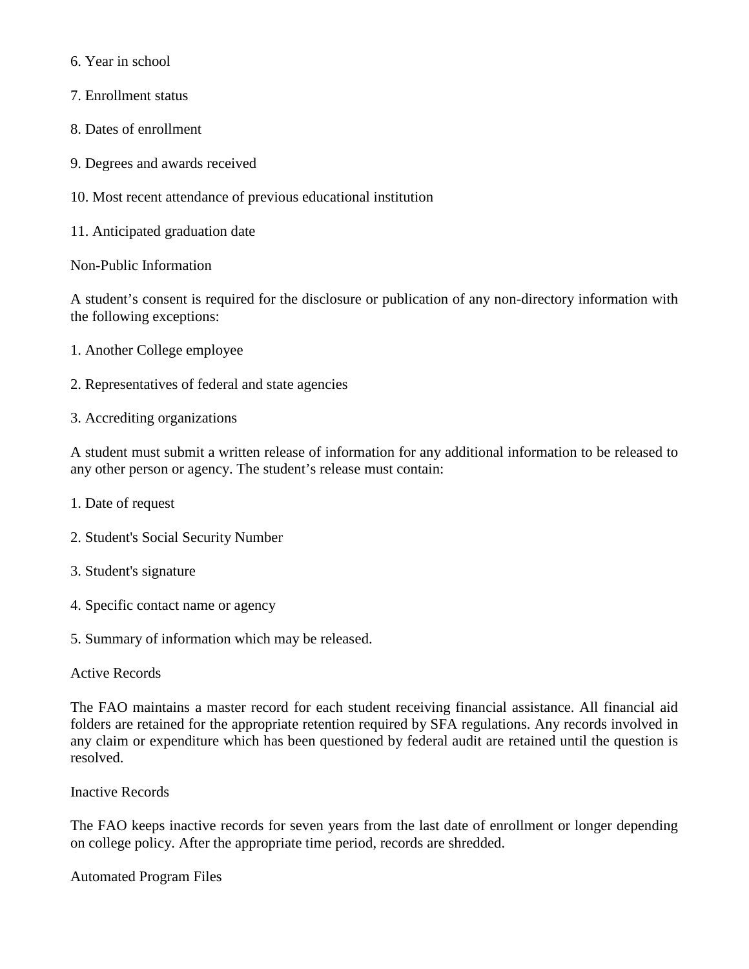6. Year in school

- 7. Enrollment status
- 8. Dates of enrollment
- 9. Degrees and awards received
- 10. Most recent attendance of previous educational institution
- 11. Anticipated graduation date
- Non-Public Information

A student's consent is required for the disclosure or publication of any non-directory information with the following exceptions:

- 1. Another College employee
- 2. Representatives of federal and state agencies
- 3. Accrediting organizations

A student must submit a written release of information for any additional information to be released to any other person or agency. The student's release must contain:

- 1. Date of request
- 2. Student's Social Security Number
- 3. Student's signature
- 4. Specific contact name or agency
- 5. Summary of information which may be released.

#### Active Records

The FAO maintains a master record for each student receiving financial assistance. All financial aid folders are retained for the appropriate retention required by SFA regulations. Any records involved in any claim or expenditure which has been questioned by federal audit are retained until the question is resolved.

Inactive Records

The FAO keeps inactive records for seven years from the last date of enrollment or longer depending on college policy. After the appropriate time period, records are shredded.

Automated Program Files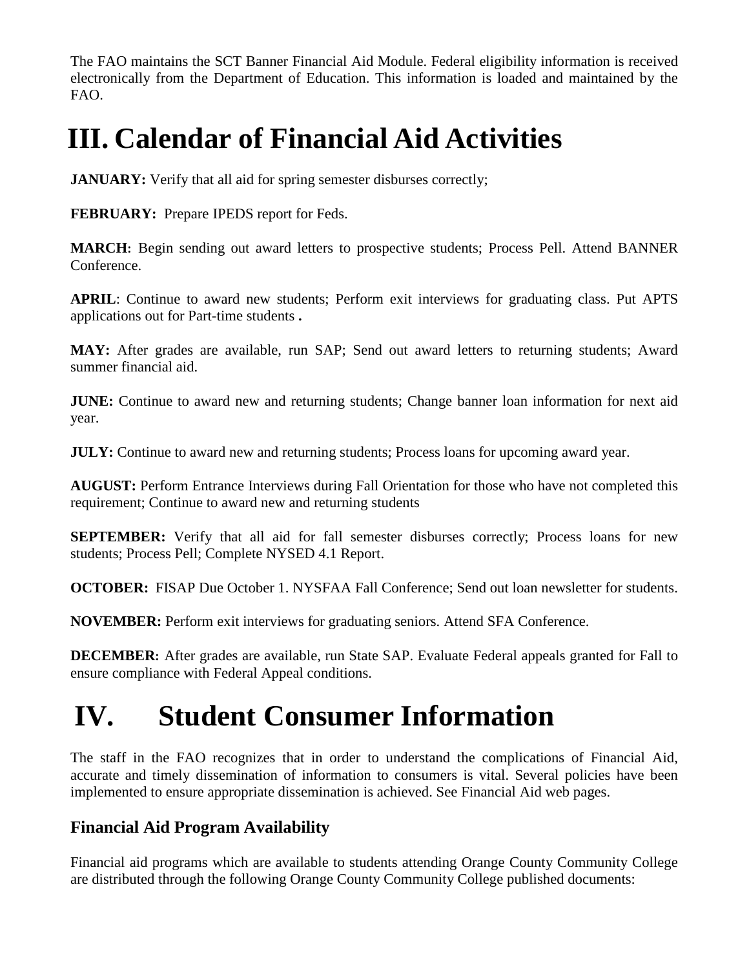The FAO maintains the SCT Banner Financial Aid Module. Federal eligibility information is received electronically from the Department of Education. This information is loaded and maintained by the FAO.

## <span id="page-7-0"></span>**III. Calendar of Financial Aid Activities**

**JANUARY:** Verify that all aid for spring semester disburses correctly;

**FEBRUARY:** Prepare IPEDS report for Feds.

**MARCH:** Begin sending out award letters to prospective students; Process Pell. Attend BANNER Conference.

**APRIL**: Continue to award new students; Perform exit interviews for graduating class. Put APTS applications out for Part-time students **.**

**MAY:** After grades are available, run SAP; Send out award letters to returning students; Award summer financial aid.

**JUNE:** Continue to award new and returning students; Change banner loan information for next aid year.

**JULY:** Continue to award new and returning students; Process loans for upcoming award year.

**AUGUST:** Perform Entrance Interviews during Fall Orientation for those who have not completed this requirement; Continue to award new and returning students

**SEPTEMBER:** Verify that all aid for fall semester disburses correctly; Process loans for new students; Process Pell; Complete NYSED 4.1 Report.

**OCTOBER:** FISAP Due October 1. NYSFAA Fall Conference; Send out loan newsletter for students.

**NOVEMBER:** Perform exit interviews for graduating seniors. Attend SFA Conference.

**DECEMBER:** After grades are available, run State SAP. Evaluate Federal appeals granted for Fall to ensure compliance with Federal Appeal conditions.

## <span id="page-7-1"></span>**IV. Student Consumer Information**

The staff in the FAO recognizes that in order to understand the complications of Financial Aid, accurate and timely dissemination of information to consumers is vital. Several policies have been implemented to ensure appropriate dissemination is achieved. See Financial Aid web pages.

### **Financial Aid Program Availability**

Financial aid programs which are available to students attending Orange County Community College are distributed through the following Orange County Community College published documents: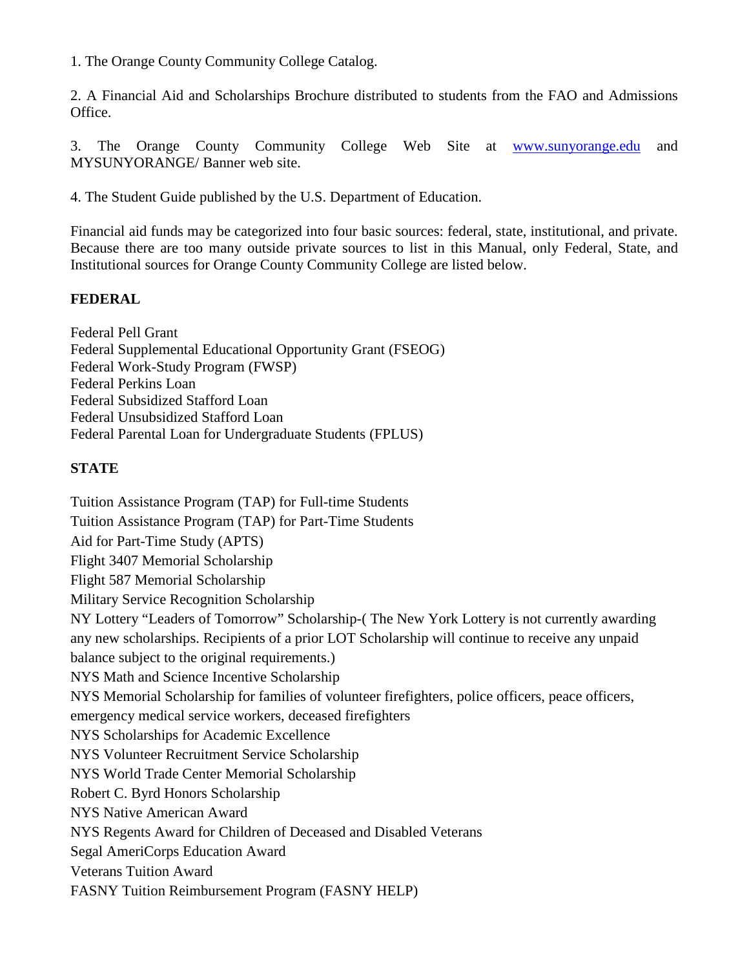1. The Orange County Community College Catalog.

2. A Financial Aid and Scholarships Brochure distributed to students from the FAO and Admissions Office.

3. The Orange County Community College Web Site at [www.sunyorange.edu](http://www.sunyorange.edu/) and MYSUNYORANGE/ Banner web site.

4. The Student Guide published by the U.S. Department of Education.

Financial aid funds may be categorized into four basic sources: federal, state, institutional, and private. Because there are too many outside private sources to list in this Manual, only Federal, State, and Institutional sources for Orange County Community College are listed below.

#### **FEDERAL**

Federal Pell Grant Federal Supplemental Educational Opportunity Grant (FSEOG) Federal Work-Study Program (FWSP) Federal Perkins Loan Federal Subsidized Stafford Loan Federal Unsubsidized Stafford Loan Federal Parental Loan for Undergraduate Students (FPLUS)

#### **STATE**

[Tuition Assistance Program \(TAP\) for Full-time Students](http://www.hesc.com/content.nsf/CA/TAP_Coach_Fulltime_Study) [Tuition Assistance Program \(TAP\) for Part-Time Students](http://www.hesc.com/content.nsf/SFC/Parttime_TAP_Program) [Aid for Part-Time Study \(APTS\)](http://www.sunyorange.edu/financialaid/nyaid.shtml#apts) [Flight 3407 Memorial Scholarship](http://www.hesc.com/content.nsf/SFC/Flight_3407_Memorial_Scholarships) [Flight 587 Memorial Scholarship](http://www.hesc.com/content.nsf/SFC/Flight_587_Memorial_Scholarships) [Military Service Recognition Scholarship](http://www.hesc.com/content.nsf/SFC/Military_Service_Recognition_Scholarship) [NY Lottery "Leaders of Tomorrow" Scholarship-](http://nylottery.ny.gov/wps/portal)( The New York Lottery is not currently awarding any new scholarships. Recipients of a prior LOT Scholarship will continue to receive any unpaid balance subject to the original requirements.) [NYS Math and Science Incentive Scholarship](http://www.hesc.com/content.nsf/SFC/NYS_Math_and_Science_Teaching_Incentive_Scholarships) [NYS Memorial Scholarship for families of volunteer firefighters, police officers, peace officers,](http://www.hesc.com/content.nsf/SFC/NYS_Memorial_Scholarships)  [emergency medical service workers, deceased firefighters](http://www.hesc.com/content.nsf/SFC/NYS_Memorial_Scholarships) [NYS Scholarships for Academic Excellence](http://www.hesc.com/content.nsf/SFC/NYS_Scholarships_for_Academic_Excellence) [NYS Volunteer Recruitment Service Scholarship](http://www.hesc.com/content.nsf/SFC/NYS_Volunteer_Recruitment_Service_Scholarship) [NYS World Trade Center Memorial Scholarship](http://www.hesc.com/content.nsf/SFC/NYS_World_Trade_Center_Memorial_Scholarship) [Robert C. Byrd Honors Scholarship](http://www.hesc.com/content.nsf/SFC/Robert_C_Byrd_Honors_Scholarship) [NYS Native American Award](http://www.hesc.com/content.nsf/SFC/NYS_Aid_to_Native_Americans) [NYS Regents Award for Children of Deceased and Disabled Veterans](http://www.hesc.com/content.nsf/SFC/NYS_Regents_Awards_for_Children_of_Deceased_and_Disabled_Veterans) [Segal AmeriCorps Education Award](http://www.hesc.com/content.nsf/SFC/Segal_AmeriCorps_Education_Award) [Veterans Tuition Award](http://www.hesc.com/content.nsf/SFC/Veterans_Tuition_Awards) [FASNY Tuition Reimbursement Program \(FASNY HELP\)](http://www.fasny.com/index.php/membership/benefits/fasny-help/)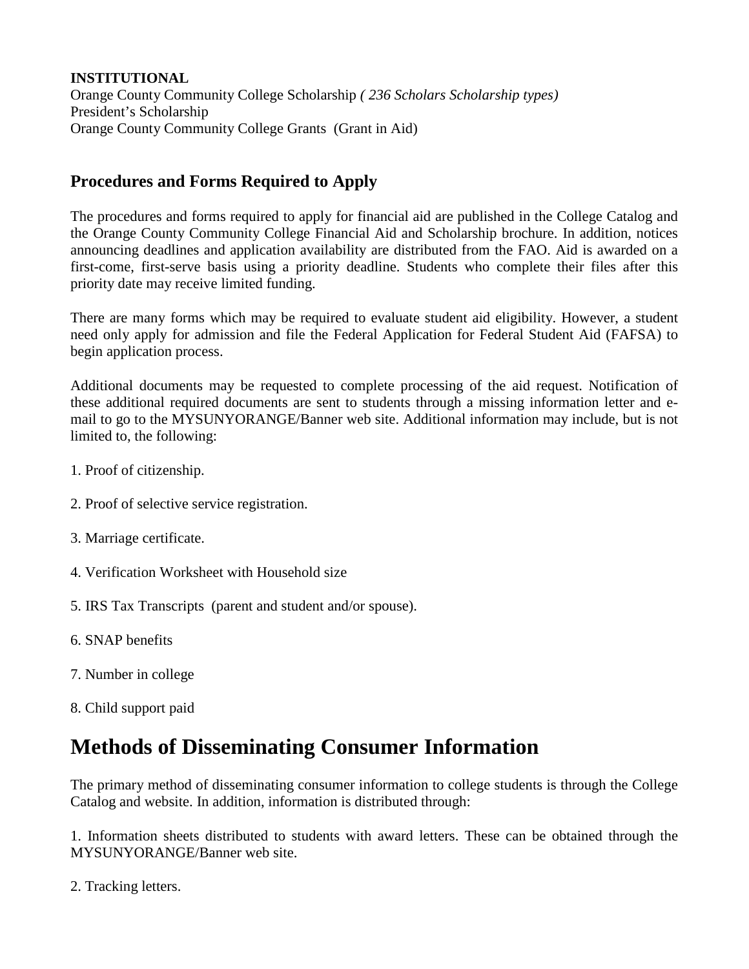**INSTITUTIONAL** Orange County Community College Scholarship *( 236 Scholars Scholarship types)* President's Scholarship Orange County Community College Grants (Grant in Aid)

#### **Procedures and Forms Required to Apply**

The procedures and forms required to apply for financial aid are published in the College Catalog and the Orange County Community College Financial Aid and Scholarship brochure. In addition, notices announcing deadlines and application availability are distributed from the FAO. Aid is awarded on a first-come, first-serve basis using a priority deadline. Students who complete their files after this priority date may receive limited funding.

There are many forms which may be required to evaluate student aid eligibility. However, a student need only apply for admission and file the Federal Application for Federal Student Aid (FAFSA) to begin application process.

Additional documents may be requested to complete processing of the aid request. Notification of these additional required documents are sent to students through a missing information letter and email to go to the MYSUNYORANGE/Banner web site. Additional information may include, but is not limited to, the following:

- 1. Proof of citizenship.
- 2. Proof of selective service registration.
- 3. Marriage certificate.
- 4. Verification Worksheet with Household size
- 5. IRS Tax Transcripts (parent and student and/or spouse).
- 6. SNAP benefits
- 7. Number in college
- 8. Child support paid

### **Methods of Disseminating Consumer Information**

The primary method of disseminating consumer information to college students is through the College Catalog and website. In addition, information is distributed through:

1. Information sheets distributed to students with award letters. These can be obtained through the MYSUNYORANGE/Banner web site.

2. Tracking letters.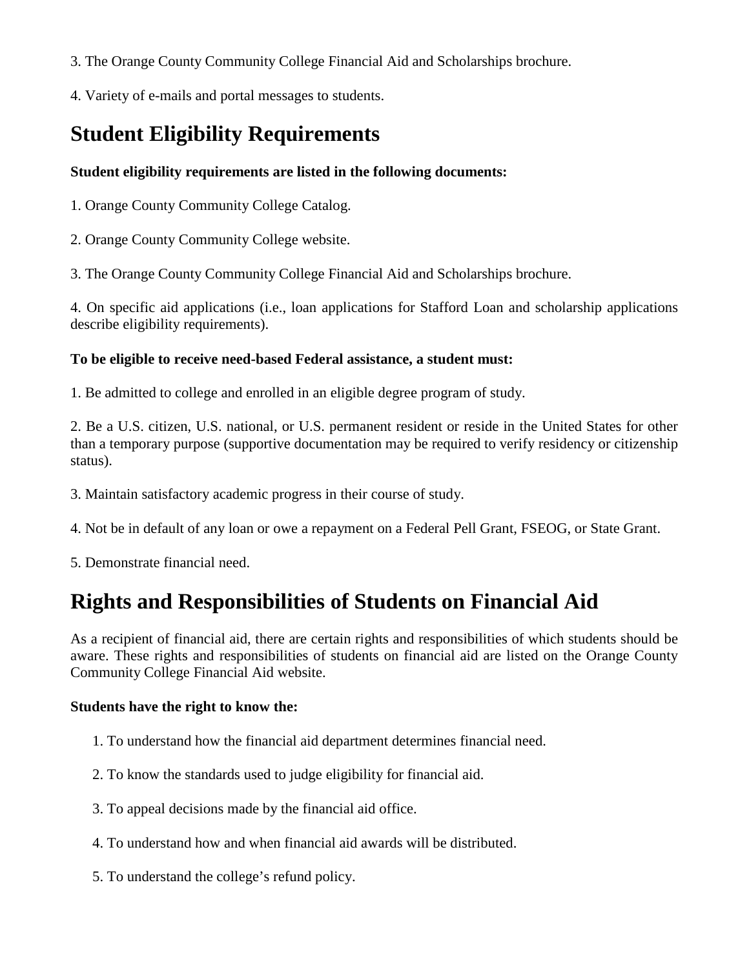- 3. The Orange County Community College Financial Aid and Scholarships brochure.
- 4. Variety of e-mails and portal messages to students.

### **Student Eligibility Requirements**

#### **Student eligibility requirements are listed in the following documents:**

1. Orange County Community College Catalog.

2. Orange County Community College website.

3. The Orange County Community College Financial Aid and Scholarships brochure.

4. On specific aid applications (i.e., loan applications for Stafford Loan and scholarship applications describe eligibility requirements).

#### **To be eligible to receive need-based Federal assistance, a student must:**

1. Be admitted to college and enrolled in an eligible degree program of study.

2. Be a U.S. citizen, U.S. national, or U.S. permanent resident or reside in the United States for other than a temporary purpose (supportive documentation may be required to verify residency or citizenship status).

3. Maintain satisfactory academic progress in their course of study.

4. Not be in default of any loan or owe a repayment on a Federal Pell Grant, FSEOG, or State Grant.

5. Demonstrate financial need.

### **Rights and Responsibilities of Students on Financial Aid**

As a recipient of financial aid, there are certain rights and responsibilities of which students should be aware. These rights and responsibilities of students on financial aid are listed on the Orange County Community College Financial Aid website.

#### **Students have the right to know the:**

- 1. To understand how the financial aid department determines financial need.
- 2. To know the standards used to judge eligibility for financial aid.
- 3. To appeal decisions made by the financial aid office.
- 4. To understand how and when financial aid awards will be distributed.
- 5. To understand the college's refund policy.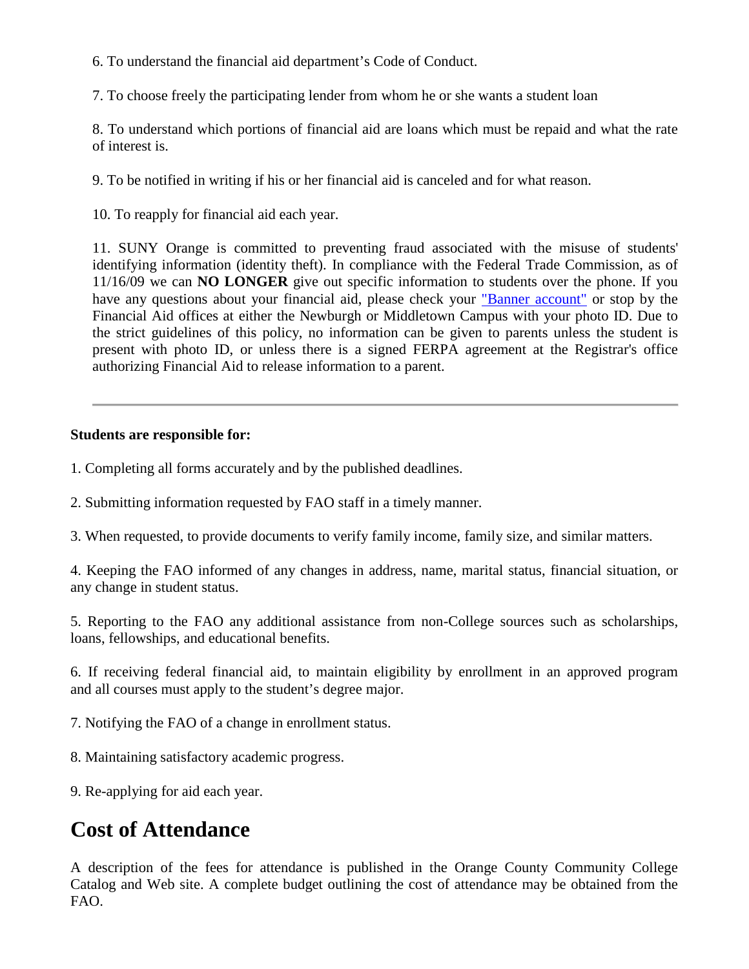6. To understand the financial aid department's Code of Conduct.

7. To choose freely the participating lender from whom he or she wants a student loan

8. To understand which portions of financial aid are loans which must be repaid and what the rate of interest is.

9. To be notified in writing if his or her financial aid is canceled and for what reason.

10. To reapply for financial aid each year.

11. SUNY Orange is committed to preventing fraud associated with the misuse of students' identifying information (identity theft). In compliance with the Federal Trade Commission, as of 11/16/09 we can **NO LONGER** give out specific information to students over the phone. If you have any questions about your financial aid, please check your ["Banner account"](https://banner.sunyorange.edu:8787/pls/prod/twbkwbis.P_WWWLogin) or stop by the Financial Aid offices at either the Newburgh or Middletown Campus with your photo ID. Due to the strict guidelines of this policy, no information can be given to parents unless the student is present with photo ID, or unless there is a signed FERPA agreement at the Registrar's office authorizing Financial Aid to release information to a parent.

#### **Students are responsible for:**

- 1. Completing all forms accurately and by the published deadlines.
- 2. Submitting information requested by FAO staff in a timely manner.
- 3. When requested, to provide documents to verify family income, family size, and similar matters.

4. Keeping the FAO informed of any changes in address, name, marital status, financial situation, or any change in student status.

5. Reporting to the FAO any additional assistance from non-College sources such as scholarships, loans, fellowships, and educational benefits.

6. If receiving federal financial aid, to maintain eligibility by enrollment in an approved program and all courses must apply to the student's degree major.

- 7. Notifying the FAO of a change in enrollment status.
- 8. Maintaining satisfactory academic progress.
- 9. Re-applying for aid each year.

### **Cost of Attendance**

A description of the fees for attendance is published in the Orange County Community College Catalog and Web site. A complete budget outlining the cost of attendance may be obtained from the FAO.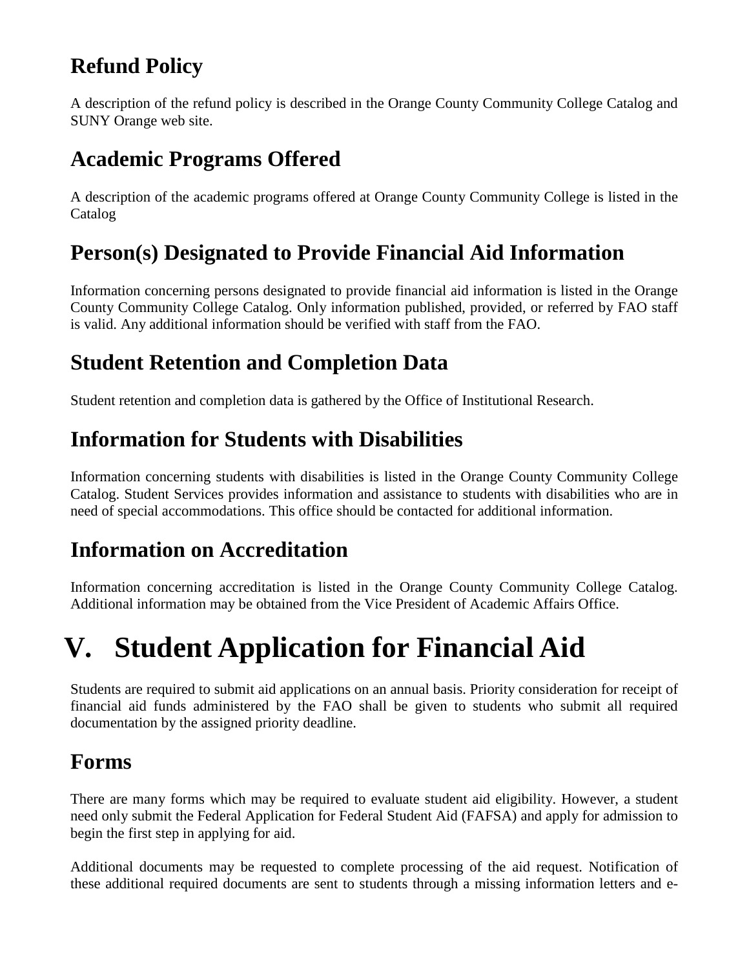### **Refund Policy**

A description of the refund policy is described in the Orange County Community College Catalog and SUNY Orange web site.

### **Academic Programs Offered**

A description of the academic programs offered at Orange County Community College is listed in the Catalog

### **Person(s) Designated to Provide Financial Aid Information**

Information concerning persons designated to provide financial aid information is listed in the Orange County Community College Catalog. Only information published, provided, or referred by FAO staff is valid. Any additional information should be verified with staff from the FAO.

### **Student Retention and Completion Data**

Student retention and completion data is gathered by the Office of Institutional Research.

### **Information for Students with Disabilities**

Information concerning students with disabilities is listed in the Orange County Community College Catalog. Student Services provides information and assistance to students with disabilities who are in need of special accommodations. This office should be contacted for additional information.

### **Information on Accreditation**

Information concerning accreditation is listed in the Orange County Community College Catalog. Additional information may be obtained from the Vice President of Academic Affairs Office.

# **V. Student Application for Financial Aid**

Students are required to submit aid applications on an annual basis. Priority consideration for receipt of financial aid funds administered by the FAO shall be given to students who submit all required documentation by the assigned priority deadline.

### **Forms**

There are many forms which may be required to evaluate student aid eligibility. However, a student need only submit the Federal Application for Federal Student Aid (FAFSA) and apply for admission to begin the first step in applying for aid.

Additional documents may be requested to complete processing of the aid request. Notification of these additional required documents are sent to students through a missing information letters and e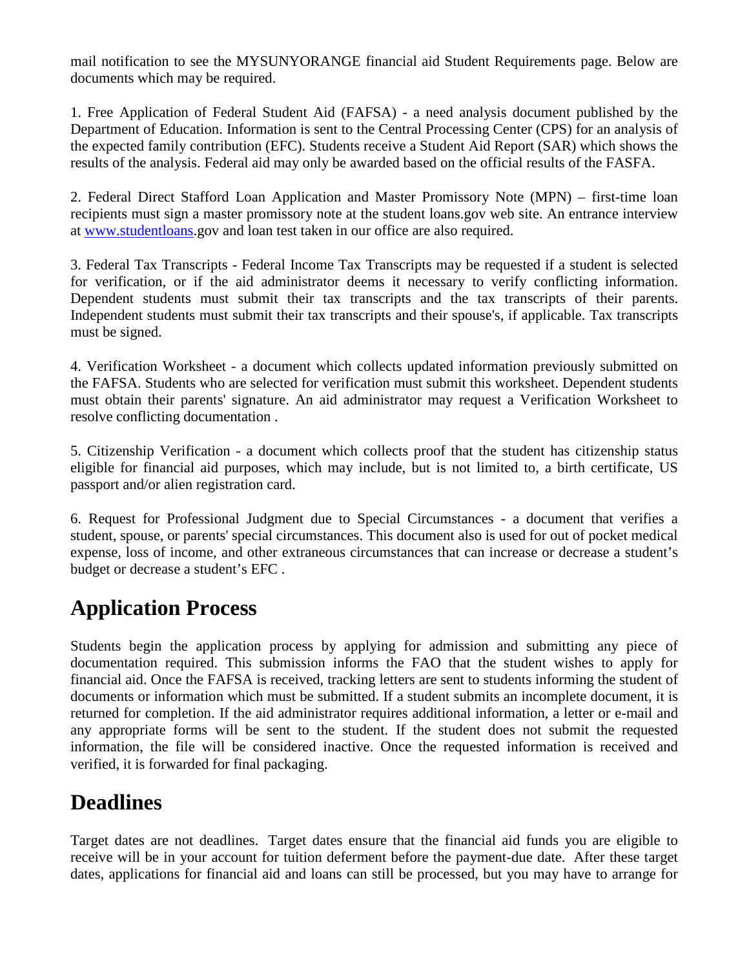mail notification to see the MYSUNYORANGE financial aid Student Requirements page. Below are documents which may be required.

1. Free Application of Federal Student Aid (FAFSA) - a need analysis document published by the Department of Education. Information is sent to the Central Processing Center (CPS) for an analysis of the expected family contribution (EFC). Students receive a Student Aid Report (SAR) which shows the results of the analysis. Federal aid may only be awarded based on the official results of the FASFA.

2. Federal Direct Stafford Loan Application and Master Promissory Note (MPN) – first-time loan recipients must sign a master promissory note at the student loans.gov web site. An entrance interview at [www.studentloans.](http://www.studentloans/)gov and loan test taken in our office are also required.

3. Federal Tax Transcripts - Federal Income Tax Transcripts may be requested if a student is selected for verification, or if the aid administrator deems it necessary to verify conflicting information. Dependent students must submit their tax transcripts and the tax transcripts of their parents. Independent students must submit their tax transcripts and their spouse's, if applicable. Tax transcripts must be signed.

4. Verification Worksheet - a document which collects updated information previously submitted on the FAFSA. Students who are selected for verification must submit this worksheet. Dependent students must obtain their parents' signature. An aid administrator may request a Verification Worksheet to resolve conflicting documentation .

5. Citizenship Verification - a document which collects proof that the student has citizenship status eligible for financial aid purposes, which may include, but is not limited to, a birth certificate, US passport and/or alien registration card.

6. Request for Professional Judgment due to Special Circumstances - a document that verifies a student, spouse, or parents' special circumstances. This document also is used for out of pocket medical expense, loss of income, and other extraneous circumstances that can increase or decrease a student's budget or decrease a student's EFC .

### **Application Process**

Students begin the application process by applying for admission and submitting any piece of documentation required. This submission informs the FAO that the student wishes to apply for financial aid. Once the FAFSA is received, tracking letters are sent to students informing the student of documents or information which must be submitted. If a student submits an incomplete document, it is returned for completion. If the aid administrator requires additional information, a letter or e-mail and any appropriate forms will be sent to the student. If the student does not submit the requested information, the file will be considered inactive. Once the requested information is received and verified, it is forwarded for final packaging.

### **Deadlines**

Target dates are not deadlines. Target dates ensure that the financial aid funds you are eligible to receive will be in your account for tuition deferment before the payment-due date. After these target dates, applications for financial aid and loans can still be processed, but you may have to arrange for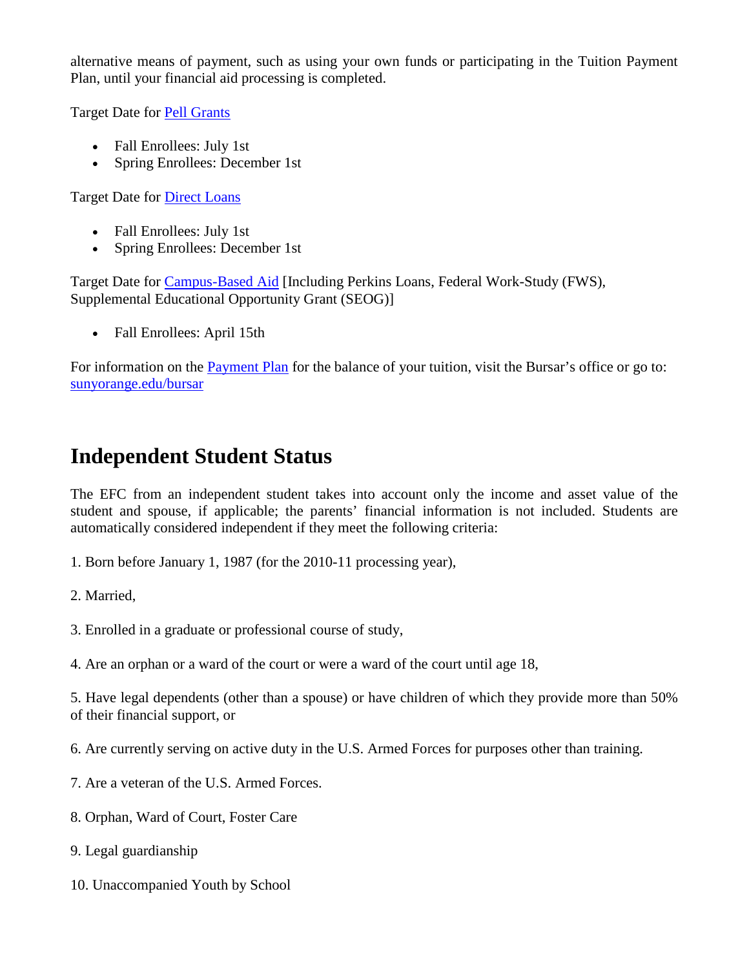alternative means of payment, such as using your own funds or participating in the Tuition Payment Plan, until your financial aid processing is completed.

Target Date for **Pell Grants** 

- Fall Enrollees: July 1st
- Spring Enrollees: December 1st

Target Date for [Direct Loans](http://www.sunyorange.edu/financialaid/fedaid.shtml#stafford)

- Fall Enrollees: July 1st
- Spring Enrollees: December 1st

Target Date for [Campus-Based Aid](http://www.sunyorange.edu/financialaid/fedaid.shtml#perkins) [Including Perkins Loans, Federal Work-Study (FWS), Supplemental Educational Opportunity Grant (SEOG)]

• Fall Enrollees: April 15th

For information on the [Payment Plan](http://www.sunyorange.edu/bursar/payment_options.shtml) for the balance of your tuition, visit the Bursar's office or go to: [sunyorange.edu/bursar](http://www.sunyorange.edu/bursar)

### **Independent Student Status**

The EFC from an independent student takes into account only the income and asset value of the student and spouse, if applicable; the parents' financial information is not included. Students are automatically considered independent if they meet the following criteria:

1. Born before January 1, 1987 (for the 2010-11 processing year),

2. Married,

- 3. Enrolled in a graduate or professional course of study,
- 4. Are an orphan or a ward of the court or were a ward of the court until age 18,

5. Have legal dependents (other than a spouse) or have children of which they provide more than 50% of their financial support, or

6. Are currently serving on active duty in the U.S. Armed Forces for purposes other than training.

- 7. Are a veteran of the U.S. Armed Forces.
- 8. Orphan, Ward of Court, Foster Care
- 9. Legal guardianship
- 10. Unaccompanied Youth by School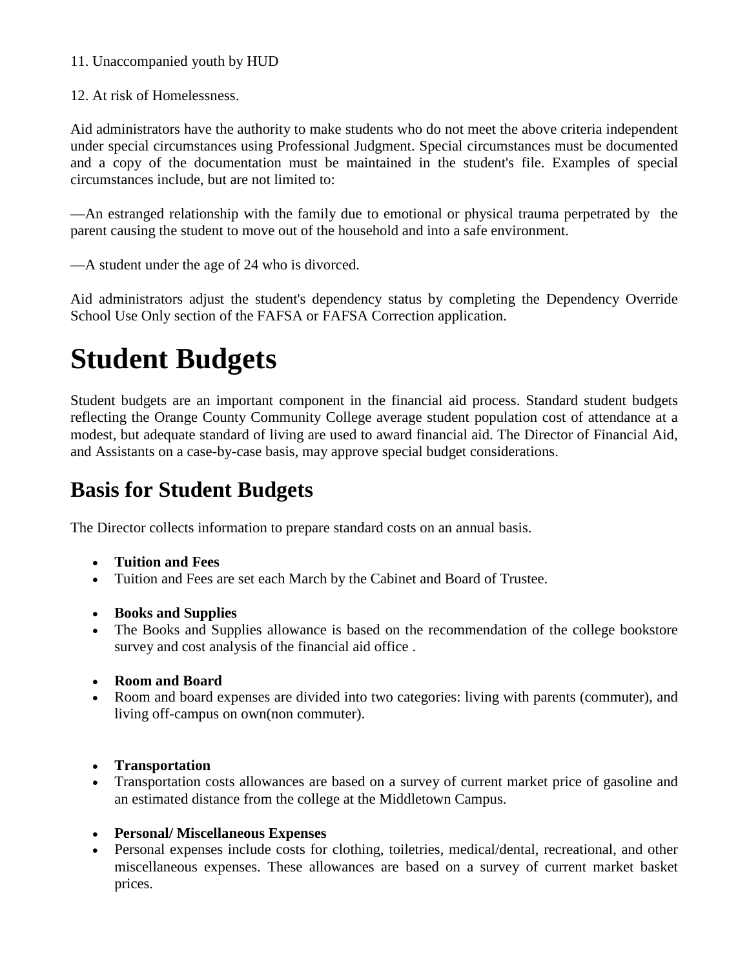#### 11. Unaccompanied youth by HUD

12. At risk of Homelessness.

Aid administrators have the authority to make students who do not meet the above criteria independent under special circumstances using Professional Judgment. Special circumstances must be documented and a copy of the documentation must be maintained in the student's file. Examples of special circumstances include, but are not limited to:

—An estranged relationship with the family due to emotional or physical trauma perpetrated by the parent causing the student to move out of the household and into a safe environment.

—A student under the age of 24 who is divorced.

Aid administrators adjust the student's dependency status by completing the Dependency Override School Use Only section of the FAFSA or FAFSA Correction application.

## **Student Budgets**

Student budgets are an important component in the financial aid process. Standard student budgets reflecting the Orange County Community College average student population cost of attendance at a modest, but adequate standard of living are used to award financial aid. The Director of Financial Aid, and Assistants on a case-by-case basis, may approve special budget considerations.

### **Basis for Student Budgets**

The Director collects information to prepare standard costs on an annual basis.

- **Tuition and Fees**
- Tuition and Fees are set each March by the Cabinet and Board of Trustee.
- **Books and Supplies**
- The Books and Supplies allowance is based on the recommendation of the college bookstore survey and cost analysis of the financial aid office .
- **Room and Board**
- Room and board expenses are divided into two categories: living with parents (commuter), and living off-campus on own(non commuter).
- **Transportation**
- Transportation costs allowances are based on a survey of current market price of gasoline and an estimated distance from the college at the Middletown Campus.
- **Personal/ Miscellaneous Expenses**
- Personal expenses include costs for clothing, toiletries, medical/dental, recreational, and other miscellaneous expenses. These allowances are based on a survey of current market basket prices.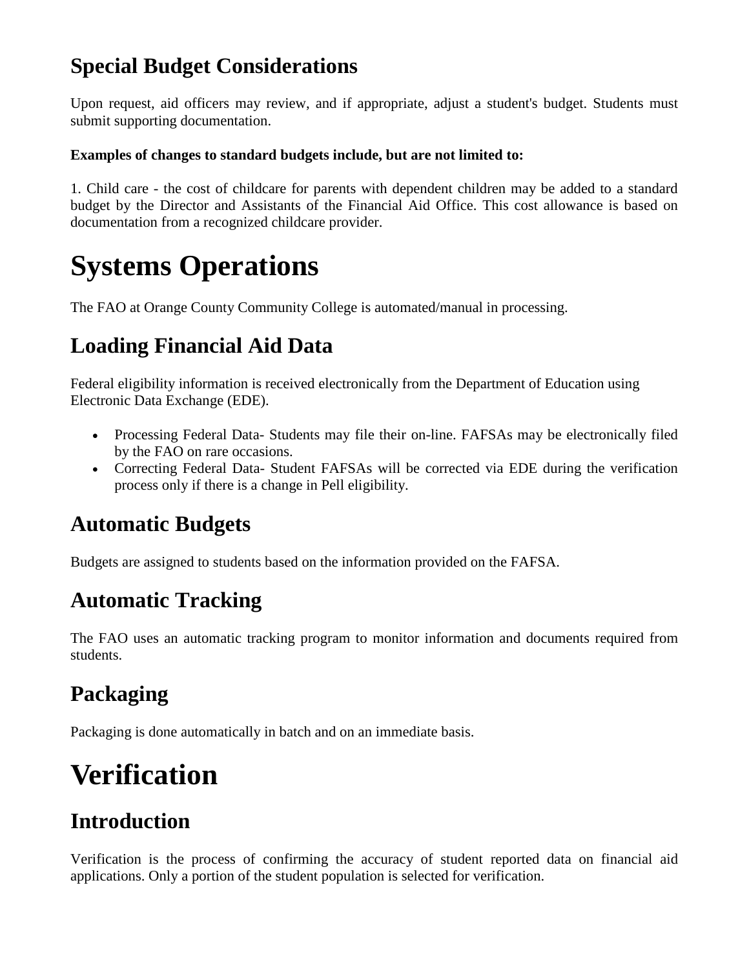### **Special Budget Considerations**

Upon request, aid officers may review, and if appropriate, adjust a student's budget. Students must submit supporting documentation.

#### **Examples of changes to standard budgets include, but are not limited to:**

1. Child care - the cost of childcare for parents with dependent children may be added to a standard budget by the Director and Assistants of the Financial Aid Office. This cost allowance is based on documentation from a recognized childcare provider.

## **Systems Operations**

The FAO at Orange County Community College is automated/manual in processing.

### **Loading Financial Aid Data**

Federal eligibility information is received electronically from the Department of Education using Electronic Data Exchange (EDE).

- Processing Federal Data- Students may file their on-line. FAFSAs may be electronically filed by the FAO on rare occasions.
- Correcting Federal Data- Student FAFSAs will be corrected via EDE during the verification process only if there is a change in Pell eligibility.

### **Automatic Budgets**

Budgets are assigned to students based on the information provided on the FAFSA.

### **Automatic Tracking**

The FAO uses an automatic tracking program to monitor information and documents required from students.

### **Packaging**

Packaging is done automatically in batch and on an immediate basis.

## **Verification**

### **Introduction**

Verification is the process of confirming the accuracy of student reported data on financial aid applications. Only a portion of the student population is selected for verification.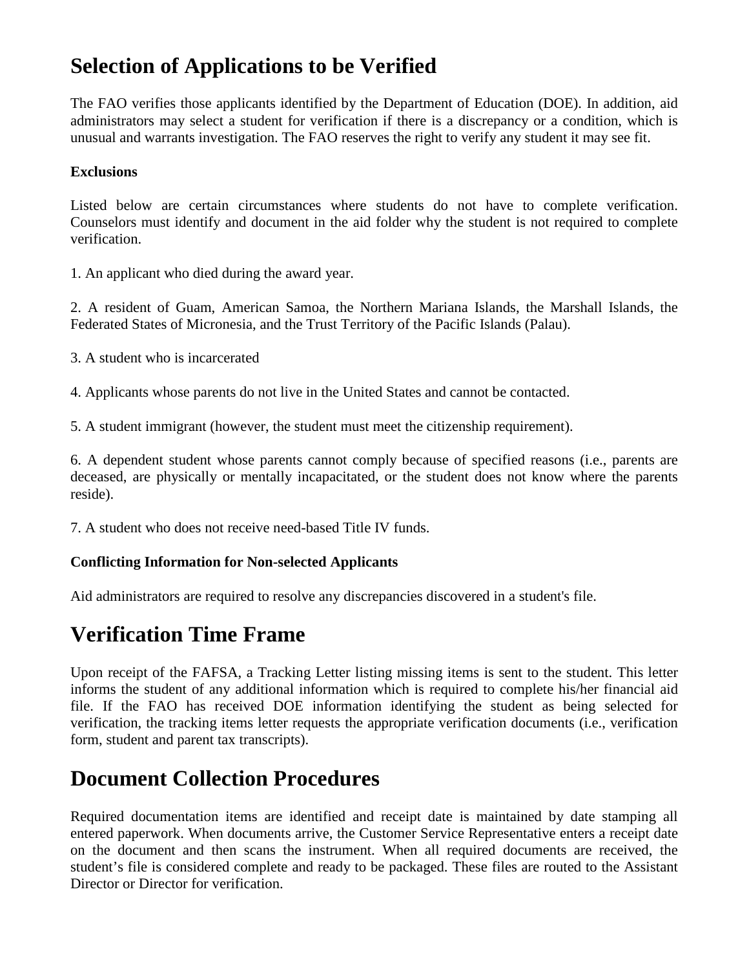### **Selection of Applications to be Verified**

The FAO verifies those applicants identified by the Department of Education (DOE). In addition, aid administrators may select a student for verification if there is a discrepancy or a condition, which is unusual and warrants investigation. The FAO reserves the right to verify any student it may see fit.

#### **Exclusions**

Listed below are certain circumstances where students do not have to complete verification. Counselors must identify and document in the aid folder why the student is not required to complete verification.

1. An applicant who died during the award year.

2. A resident of Guam, American Samoa, the Northern Mariana Islands, the Marshall Islands, the Federated States of Micronesia, and the Trust Territory of the Pacific Islands (Palau).

3. A student who is incarcerated

4. Applicants whose parents do not live in the United States and cannot be contacted.

5. A student immigrant (however, the student must meet the citizenship requirement).

6. A dependent student whose parents cannot comply because of specified reasons (i.e., parents are deceased, are physically or mentally incapacitated, or the student does not know where the parents reside).

7. A student who does not receive need-based Title IV funds.

#### **Conflicting Information for Non-selected Applicants**

Aid administrators are required to resolve any discrepancies discovered in a student's file.

### **Verification Time Frame**

Upon receipt of the FAFSA, a Tracking Letter listing missing items is sent to the student. This letter informs the student of any additional information which is required to complete his/her financial aid file. If the FAO has received DOE information identifying the student as being selected for verification, the tracking items letter requests the appropriate verification documents (i.e., verification form, student and parent tax transcripts).

### **Document Collection Procedures**

Required documentation items are identified and receipt date is maintained by date stamping all entered paperwork. When documents arrive, the Customer Service Representative enters a receipt date on the document and then scans the instrument. When all required documents are received, the student's file is considered complete and ready to be packaged. These files are routed to the Assistant Director or Director for verification.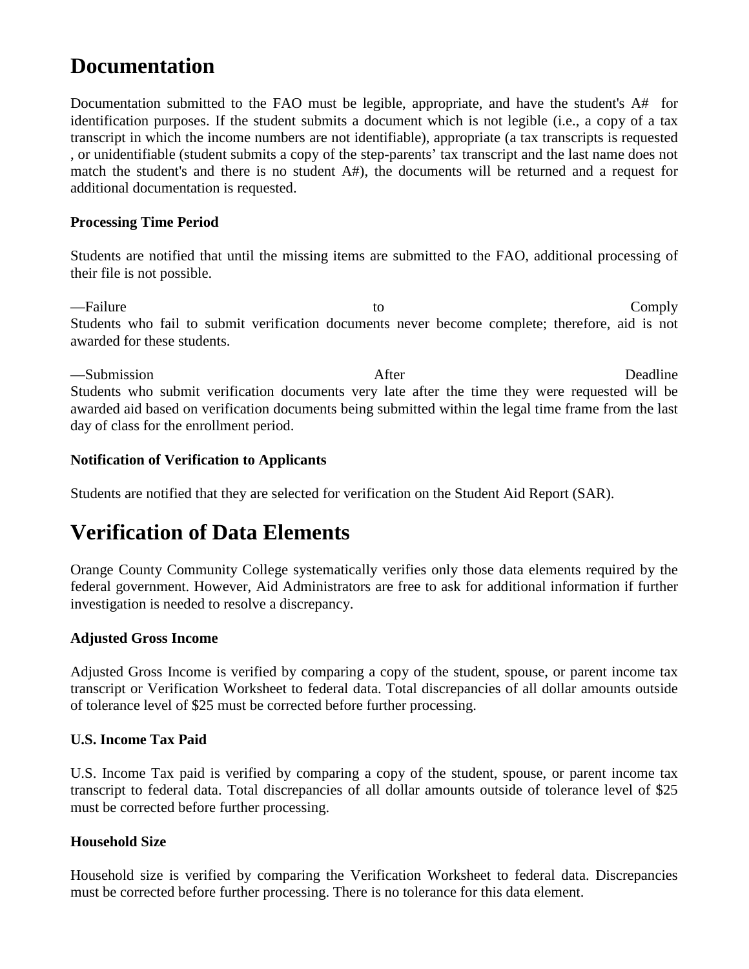### **Documentation**

Documentation submitted to the FAO must be legible, appropriate, and have the student's A# for identification purposes. If the student submits a document which is not legible (i.e., a copy of a tax transcript in which the income numbers are not identifiable), appropriate (a tax transcripts is requested , or unidentifiable (student submits a copy of the step-parents' tax transcript and the last name does not match the student's and there is no student A#), the documents will be returned and a request for additional documentation is requested.

#### **Processing Time Period**

Students are notified that until the missing items are submitted to the FAO, additional processing of their file is not possible.

—Failure Comply Students who fail to submit verification documents never become complete; therefore, aid is not awarded for these students.

—Submission **Example 2018** 2019 12:30 After After **Deadline** Students who submit verification documents very late after the time they were requested will be awarded aid based on verification documents being submitted within the legal time frame from the last day of class for the enrollment period.

#### **Notification of Verification to Applicants**

Students are notified that they are selected for verification on the Student Aid Report (SAR).

### **Verification of Data Elements**

Orange County Community College systematically verifies only those data elements required by the federal government. However, Aid Administrators are free to ask for additional information if further investigation is needed to resolve a discrepancy.

#### **Adjusted Gross Income**

Adjusted Gross Income is verified by comparing a copy of the student, spouse, or parent income tax transcript or Verification Worksheet to federal data. Total discrepancies of all dollar amounts outside of tolerance level of \$25 must be corrected before further processing.

#### **U.S. Income Tax Paid**

U.S. Income Tax paid is verified by comparing a copy of the student, spouse, or parent income tax transcript to federal data. Total discrepancies of all dollar amounts outside of tolerance level of \$25 must be corrected before further processing.

#### **Household Size**

Household size is verified by comparing the Verification Worksheet to federal data. Discrepancies must be corrected before further processing. There is no tolerance for this data element.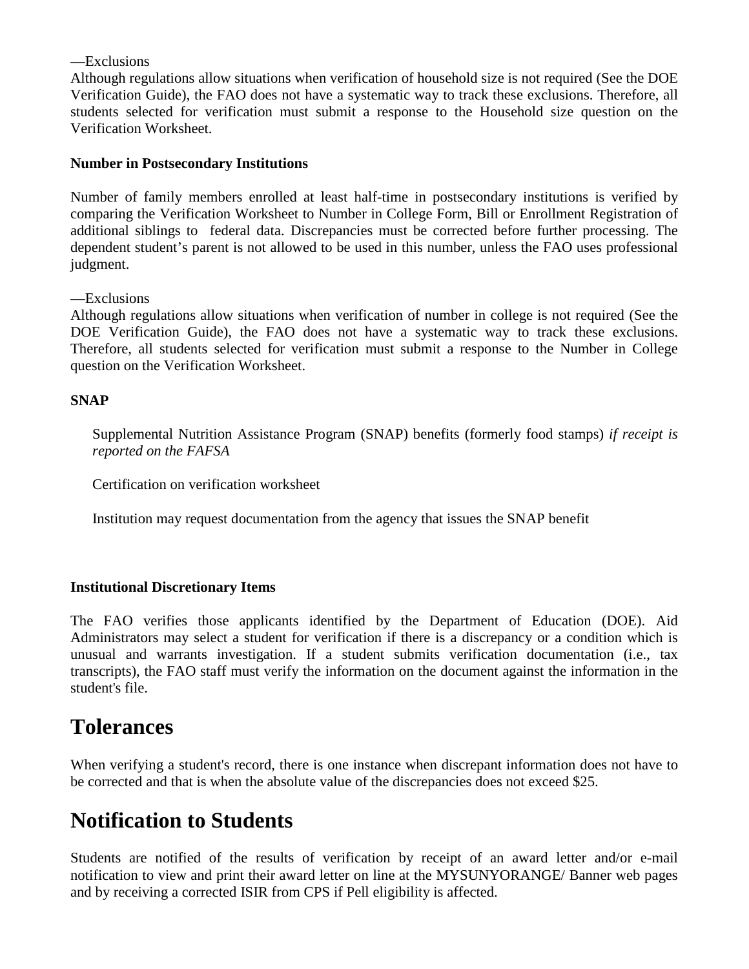#### —Exclusions

Although regulations allow situations when verification of household size is not required (See the DOE Verification Guide), the FAO does not have a systematic way to track these exclusions. Therefore, all students selected for verification must submit a response to the Household size question on the Verification Worksheet.

#### **Number in Postsecondary Institutions**

Number of family members enrolled at least half-time in postsecondary institutions is verified by comparing the Verification Worksheet to Number in College Form, Bill or Enrollment Registration of additional siblings to federal data. Discrepancies must be corrected before further processing. The dependent student's parent is not allowed to be used in this number, unless the FAO uses professional judgment.

—Exclusions

Although regulations allow situations when verification of number in college is not required (See the DOE Verification Guide), the FAO does not have a systematic way to track these exclusions. Therefore, all students selected for verification must submit a response to the Number in College question on the Verification Worksheet.

#### **SNAP**

Supplemental Nutrition Assistance Program (SNAP) benefits (formerly food stamps) *if receipt is reported on the FAFSA*

Certification on verification worksheet

Institution may request documentation from the agency that issues the SNAP benefit

#### **Institutional Discretionary Items**

The FAO verifies those applicants identified by the Department of Education (DOE). Aid Administrators may select a student for verification if there is a discrepancy or a condition which is unusual and warrants investigation. If a student submits verification documentation (i.e., tax transcripts), the FAO staff must verify the information on the document against the information in the student's file.

### **Tolerances**

When verifying a student's record, there is one instance when discrepant information does not have to be corrected and that is when the absolute value of the discrepancies does not exceed \$25.

### **Notification to Students**

Students are notified of the results of verification by receipt of an award letter and/or e-mail notification to view and print their award letter on line at the MYSUNYORANGE/ Banner web pages and by receiving a corrected ISIR from CPS if Pell eligibility is affected.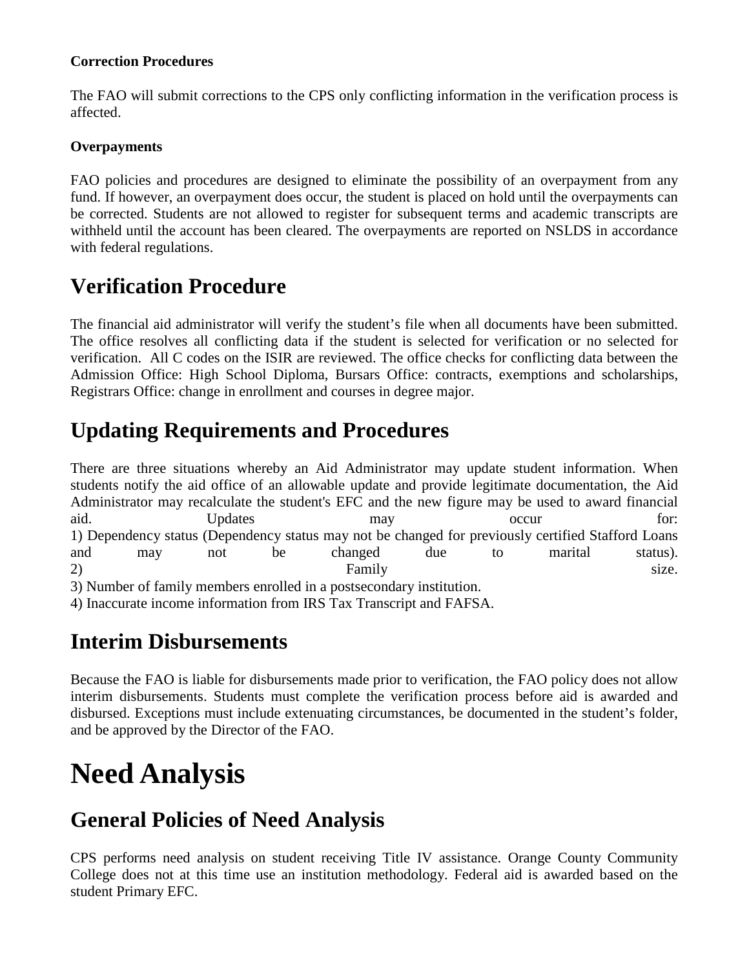#### **Correction Procedures**

The FAO will submit corrections to the CPS only conflicting information in the verification process is affected.

#### **Overpayments**

FAO policies and procedures are designed to eliminate the possibility of an overpayment from any fund. If however, an overpayment does occur, the student is placed on hold until the overpayments can be corrected. Students are not allowed to register for subsequent terms and academic transcripts are withheld until the account has been cleared. The overpayments are reported on NSLDS in accordance with federal regulations.

### **Verification Procedure**

The financial aid administrator will verify the student's file when all documents have been submitted. The office resolves all conflicting data if the student is selected for verification or no selected for verification. All C codes on the ISIR are reviewed. The office checks for conflicting data between the Admission Office: High School Diploma, Bursars Office: contracts, exemptions and scholarships, Registrars Office: change in enrollment and courses in degree major.

### **Updating Requirements and Procedures**

There are three situations whereby an Aid Administrator may update student information. When students notify the aid office of an allowable update and provide legitimate documentation, the Aid Administrator may recalculate the student's EFC and the new figure may be used to award financial aid. Computers Updates may be a contracted by the contracted of the contracted of the contracted of the contracted of the contracted of the contracted of the contracted of the contracted of the contracted of the contracted 1) Dependency status (Dependency status may not be changed for previously certified Stafford Loans and may not be changed due to marital status). 2) Family size. 3) Number of family members enrolled in a postsecondary institution.

4) Inaccurate income information from IRS Tax Transcript and FAFSA.

### **Interim Disbursements**

Because the FAO is liable for disbursements made prior to verification, the FAO policy does not allow interim disbursements. Students must complete the verification process before aid is awarded and disbursed. Exceptions must include extenuating circumstances, be documented in the student's folder, and be approved by the Director of the FAO.

## **Need Analysis**

### **General Policies of Need Analysis**

CPS performs need analysis on student receiving Title IV assistance. Orange County Community College does not at this time use an institution methodology. Federal aid is awarded based on the student Primary EFC.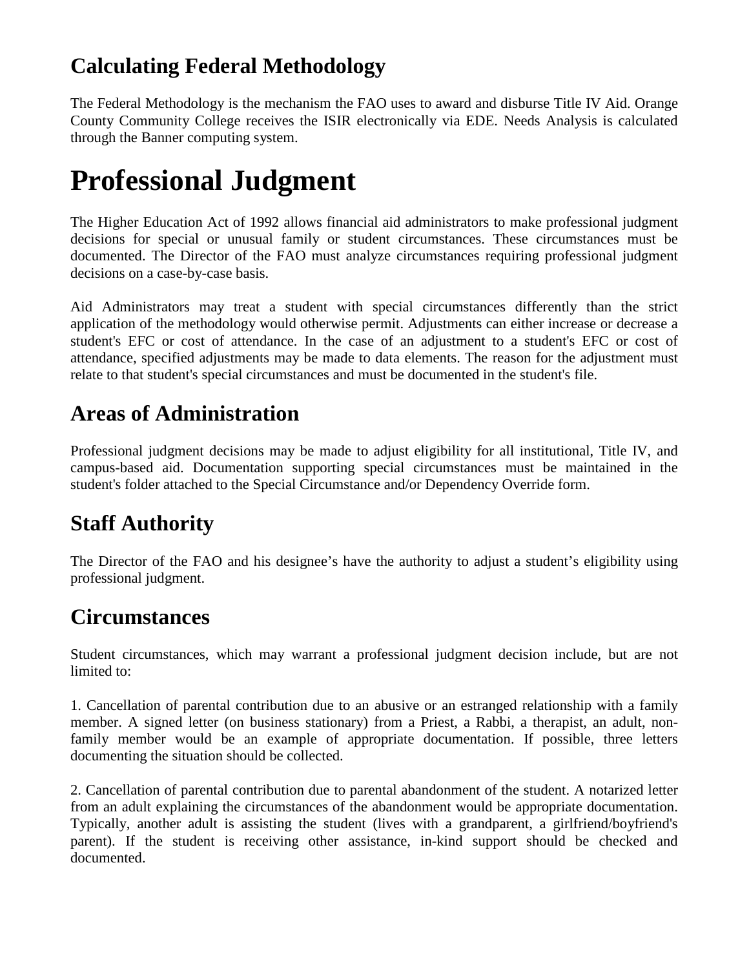### **Calculating Federal Methodology**

The Federal Methodology is the mechanism the FAO uses to award and disburse Title IV Aid. Orange County Community College receives the ISIR electronically via EDE. Needs Analysis is calculated through the Banner computing system.

## **Professional Judgment**

The Higher Education Act of 1992 allows financial aid administrators to make professional judgment decisions for special or unusual family or student circumstances. These circumstances must be documented. The Director of the FAO must analyze circumstances requiring professional judgment decisions on a case-by-case basis.

Aid Administrators may treat a student with special circumstances differently than the strict application of the methodology would otherwise permit. Adjustments can either increase or decrease a student's EFC or cost of attendance. In the case of an adjustment to a student's EFC or cost of attendance, specified adjustments may be made to data elements. The reason for the adjustment must relate to that student's special circumstances and must be documented in the student's file.

### **Areas of Administration**

Professional judgment decisions may be made to adjust eligibility for all institutional, Title IV, and campus-based aid. Documentation supporting special circumstances must be maintained in the student's folder attached to the Special Circumstance and/or Dependency Override form.

### **Staff Authority**

The Director of the FAO and his designee's have the authority to adjust a student's eligibility using professional judgment.

### **Circumstances**

Student circumstances, which may warrant a professional judgment decision include, but are not limited to:

1. Cancellation of parental contribution due to an abusive or an estranged relationship with a family member. A signed letter (on business stationary) from a Priest, a Rabbi, a therapist, an adult, nonfamily member would be an example of appropriate documentation. If possible, three letters documenting the situation should be collected.

2. Cancellation of parental contribution due to parental abandonment of the student. A notarized letter from an adult explaining the circumstances of the abandonment would be appropriate documentation. Typically, another adult is assisting the student (lives with a grandparent, a girlfriend/boyfriend's parent). If the student is receiving other assistance, in-kind support should be checked and documented.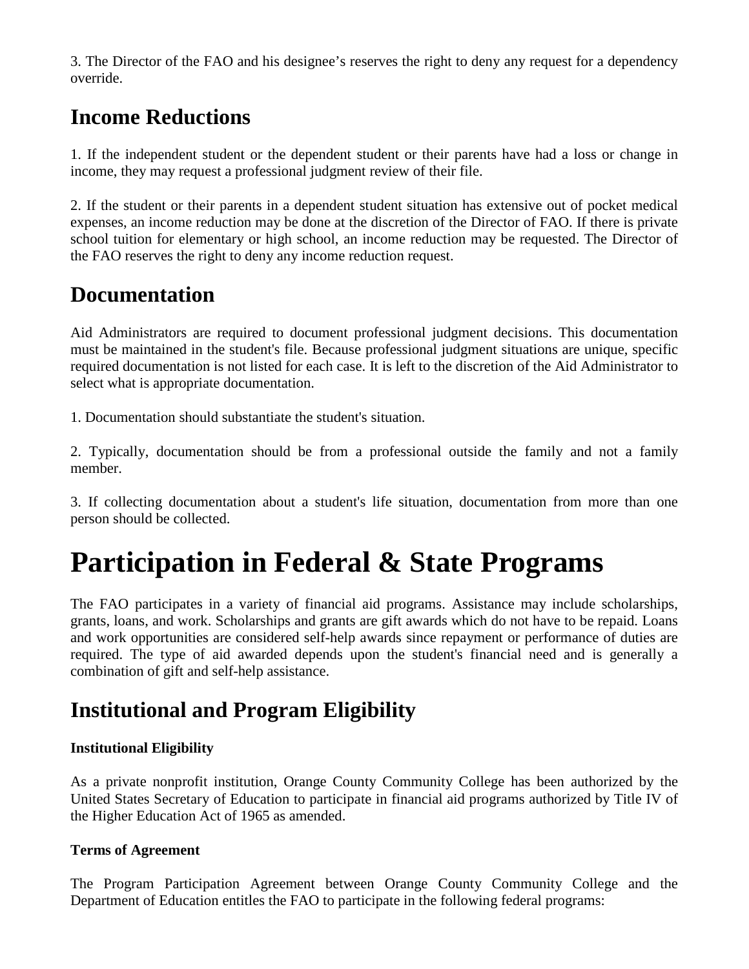3. The Director of the FAO and his designee's reserves the right to deny any request for a dependency override.

### **Income Reductions**

1. If the independent student or the dependent student or their parents have had a loss or change in income, they may request a professional judgment review of their file.

2. If the student or their parents in a dependent student situation has extensive out of pocket medical expenses, an income reduction may be done at the discretion of the Director of FAO. If there is private school tuition for elementary or high school, an income reduction may be requested. The Director of the FAO reserves the right to deny any income reduction request.

### **Documentation**

Aid Administrators are required to document professional judgment decisions. This documentation must be maintained in the student's file. Because professional judgment situations are unique, specific required documentation is not listed for each case. It is left to the discretion of the Aid Administrator to select what is appropriate documentation.

1. Documentation should substantiate the student's situation.

2. Typically, documentation should be from a professional outside the family and not a family member.

3. If collecting documentation about a student's life situation, documentation from more than one person should be collected.

## **Participation in Federal & State Programs**

The FAO participates in a variety of financial aid programs. Assistance may include scholarships, grants, loans, and work. Scholarships and grants are gift awards which do not have to be repaid. Loans and work opportunities are considered self-help awards since repayment or performance of duties are required. The type of aid awarded depends upon the student's financial need and is generally a combination of gift and self-help assistance.

### **Institutional and Program Eligibility**

#### **Institutional Eligibility**

As a private nonprofit institution, Orange County Community College has been authorized by the United States Secretary of Education to participate in financial aid programs authorized by Title IV of the Higher Education Act of 1965 as amended.

#### **Terms of Agreement**

The Program Participation Agreement between Orange County Community College and the Department of Education entitles the FAO to participate in the following federal programs: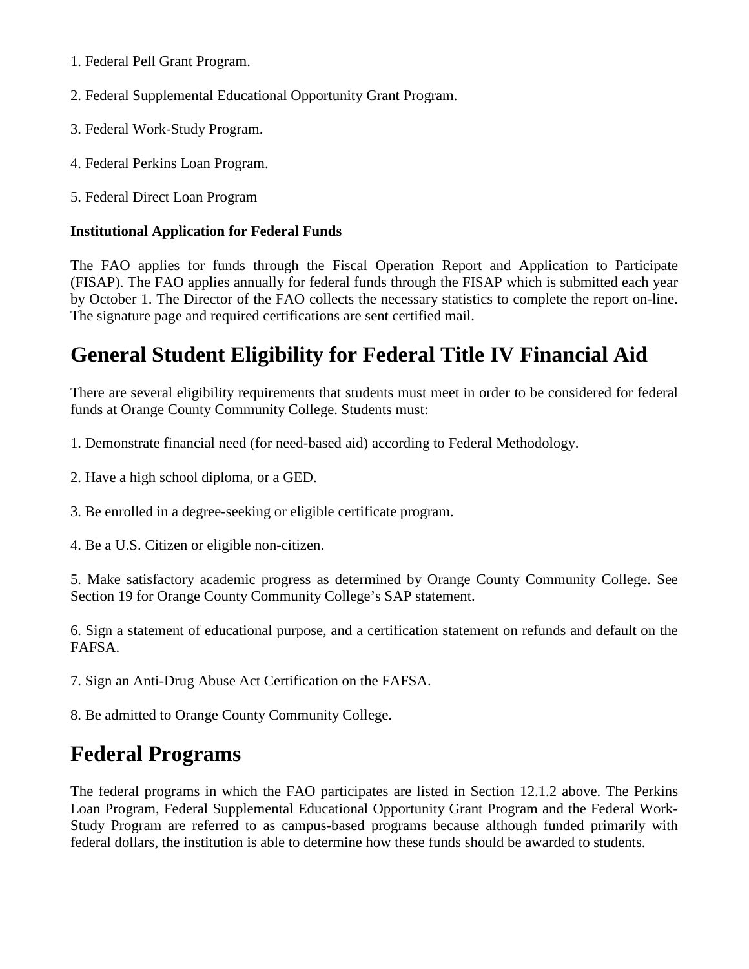- 1. Federal Pell Grant Program.
- 2. Federal Supplemental Educational Opportunity Grant Program.
- 3. Federal Work-Study Program.
- 4. Federal Perkins Loan Program.
- 5. Federal Direct Loan Program

#### **Institutional Application for Federal Funds**

The FAO applies for funds through the Fiscal Operation Report and Application to Participate (FISAP). The FAO applies annually for federal funds through the FISAP which is submitted each year by October 1. The Director of the FAO collects the necessary statistics to complete the report on-line. The signature page and required certifications are sent certified mail.

### **General Student Eligibility for Federal Title IV Financial Aid**

There are several eligibility requirements that students must meet in order to be considered for federal funds at Orange County Community College. Students must:

1. Demonstrate financial need (for need-based aid) according to Federal Methodology.

- 2. Have a high school diploma, or a GED.
- 3. Be enrolled in a degree-seeking or eligible certificate program.
- 4. Be a U.S. Citizen or eligible non-citizen.

5. Make satisfactory academic progress as determined by Orange County Community College. See Section 19 for Orange County Community College's SAP statement.

6. Sign a statement of educational purpose, and a certification statement on refunds and default on the FAFSA.

7. Sign an Anti-Drug Abuse Act Certification on the FAFSA.

8. Be admitted to Orange County Community College.

### **Federal Programs**

The federal programs in which the FAO participates are listed in Section 12.1.2 above. The Perkins Loan Program, Federal Supplemental Educational Opportunity Grant Program and the Federal Work-Study Program are referred to as campus-based programs because although funded primarily with federal dollars, the institution is able to determine how these funds should be awarded to students.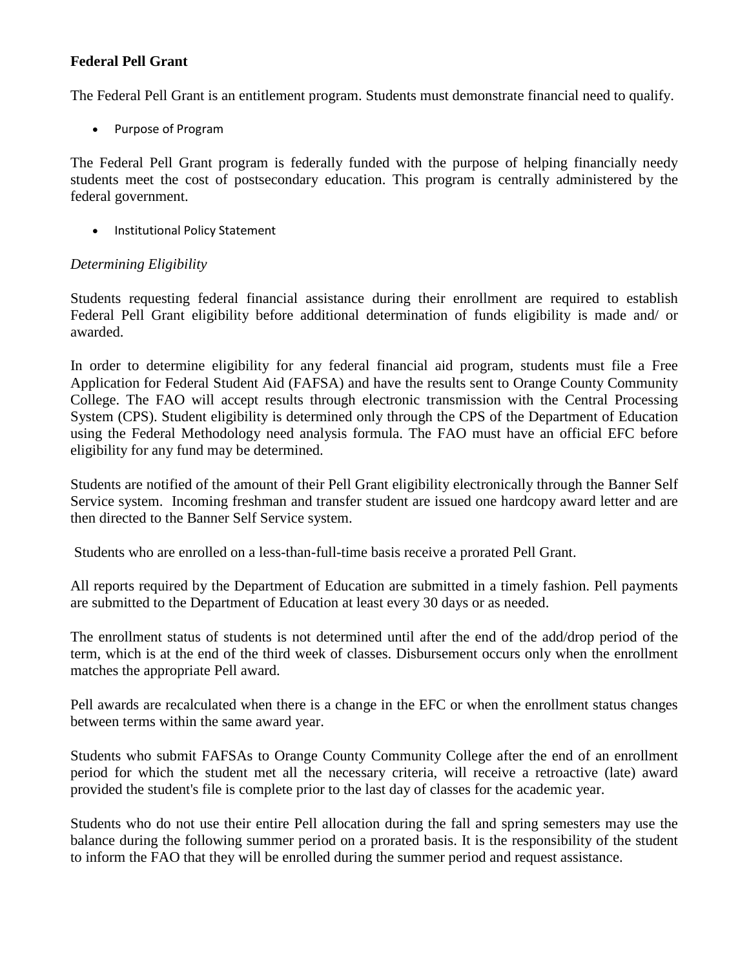#### **Federal Pell Grant**

The Federal Pell Grant is an entitlement program. Students must demonstrate financial need to qualify.

• Purpose of Program

The Federal Pell Grant program is federally funded with the purpose of helping financially needy students meet the cost of postsecondary education. This program is centrally administered by the federal government.

• Institutional Policy Statement

#### *Determining Eligibility*

Students requesting federal financial assistance during their enrollment are required to establish Federal Pell Grant eligibility before additional determination of funds eligibility is made and/ or awarded.

In order to determine eligibility for any federal financial aid program, students must file a Free Application for Federal Student Aid (FAFSA) and have the results sent to Orange County Community College. The FAO will accept results through electronic transmission with the Central Processing System (CPS). Student eligibility is determined only through the CPS of the Department of Education using the Federal Methodology need analysis formula. The FAO must have an official EFC before eligibility for any fund may be determined.

Students are notified of the amount of their Pell Grant eligibility electronically through the Banner Self Service system. Incoming freshman and transfer student are issued one hardcopy award letter and are then directed to the Banner Self Service system.

Students who are enrolled on a less-than-full-time basis receive a prorated Pell Grant.

All reports required by the Department of Education are submitted in a timely fashion. Pell payments are submitted to the Department of Education at least every 30 days or as needed.

The enrollment status of students is not determined until after the end of the add/drop period of the term, which is at the end of the third week of classes. Disbursement occurs only when the enrollment matches the appropriate Pell award.

Pell awards are recalculated when there is a change in the EFC or when the enrollment status changes between terms within the same award year.

Students who submit FAFSAs to Orange County Community College after the end of an enrollment period for which the student met all the necessary criteria, will receive a retroactive (late) award provided the student's file is complete prior to the last day of classes for the academic year.

Students who do not use their entire Pell allocation during the fall and spring semesters may use the balance during the following summer period on a prorated basis. It is the responsibility of the student to inform the FAO that they will be enrolled during the summer period and request assistance.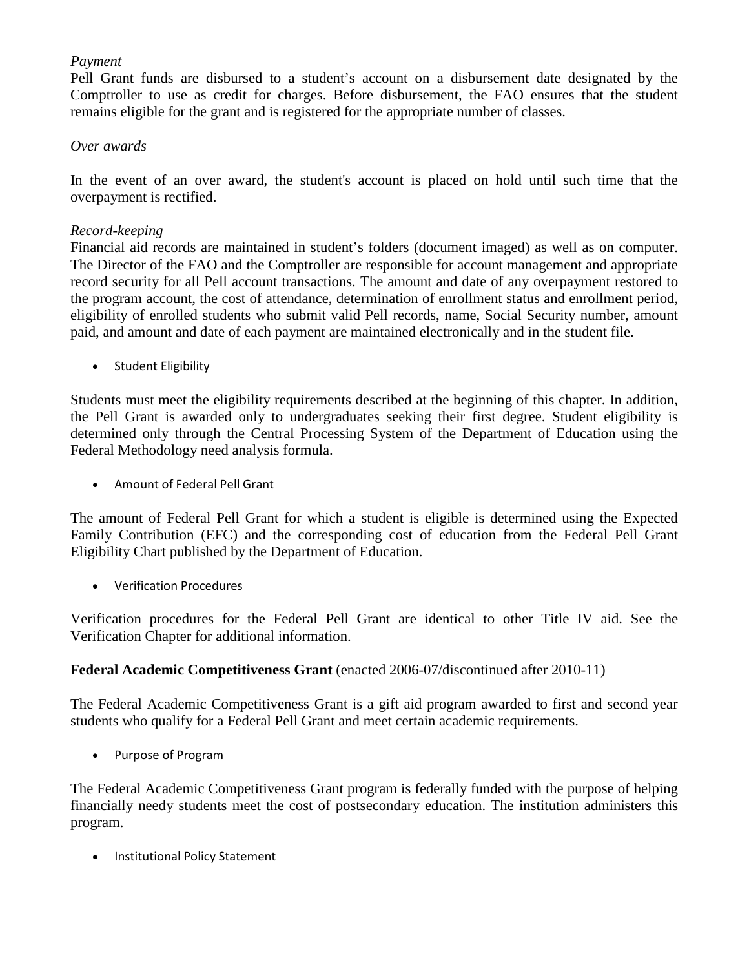#### *Payment*

Pell Grant funds are disbursed to a student's account on a disbursement date designated by the Comptroller to use as credit for charges. Before disbursement, the FAO ensures that the student remains eligible for the grant and is registered for the appropriate number of classes.

#### *Over awards*

In the event of an over award, the student's account is placed on hold until such time that the overpayment is rectified.

#### *Record-keeping*

Financial aid records are maintained in student's folders (document imaged) as well as on computer. The Director of the FAO and the Comptroller are responsible for account management and appropriate record security for all Pell account transactions. The amount and date of any overpayment restored to the program account, the cost of attendance, determination of enrollment status and enrollment period, eligibility of enrolled students who submit valid Pell records, name, Social Security number, amount paid, and amount and date of each payment are maintained electronically and in the student file.

• Student Eligibility

Students must meet the eligibility requirements described at the beginning of this chapter. In addition, the Pell Grant is awarded only to undergraduates seeking their first degree. Student eligibility is determined only through the Central Processing System of the Department of Education using the Federal Methodology need analysis formula.

• Amount of Federal Pell Grant

The amount of Federal Pell Grant for which a student is eligible is determined using the Expected Family Contribution (EFC) and the corresponding cost of education from the Federal Pell Grant Eligibility Chart published by the Department of Education.

• Verification Procedures

Verification procedures for the Federal Pell Grant are identical to other Title IV aid. See the Verification Chapter for additional information.

#### **Federal Academic Competitiveness Grant** (enacted 2006-07/discontinued after 2010-11)

The Federal Academic Competitiveness Grant is a gift aid program awarded to first and second year students who qualify for a Federal Pell Grant and meet certain academic requirements.

• Purpose of Program

The Federal Academic Competitiveness Grant program is federally funded with the purpose of helping financially needy students meet the cost of postsecondary education. The institution administers this program.

• Institutional Policy Statement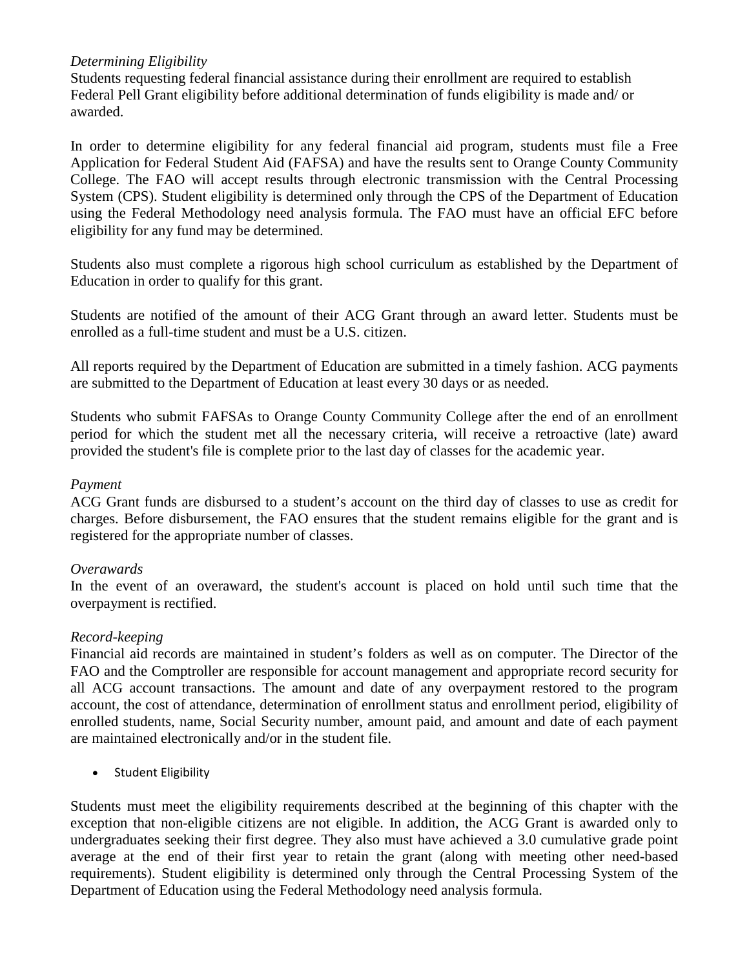#### *Determining Eligibility*

Students requesting federal financial assistance during their enrollment are required to establish Federal Pell Grant eligibility before additional determination of funds eligibility is made and/ or awarded.

In order to determine eligibility for any federal financial aid program, students must file a Free Application for Federal Student Aid (FAFSA) and have the results sent to Orange County Community College. The FAO will accept results through electronic transmission with the Central Processing System (CPS). Student eligibility is determined only through the CPS of the Department of Education using the Federal Methodology need analysis formula. The FAO must have an official EFC before eligibility for any fund may be determined.

Students also must complete a rigorous high school curriculum as established by the Department of Education in order to qualify for this grant.

Students are notified of the amount of their ACG Grant through an award letter. Students must be enrolled as a full-time student and must be a U.S. citizen.

All reports required by the Department of Education are submitted in a timely fashion. ACG payments are submitted to the Department of Education at least every 30 days or as needed.

Students who submit FAFSAs to Orange County Community College after the end of an enrollment period for which the student met all the necessary criteria, will receive a retroactive (late) award provided the student's file is complete prior to the last day of classes for the academic year.

#### *Payment*

ACG Grant funds are disbursed to a student's account on the third day of classes to use as credit for charges. Before disbursement, the FAO ensures that the student remains eligible for the grant and is registered for the appropriate number of classes.

#### *Overawards*

In the event of an overaward, the student's account is placed on hold until such time that the overpayment is rectified.

#### *Record-keeping*

Financial aid records are maintained in student's folders as well as on computer. The Director of the FAO and the Comptroller are responsible for account management and appropriate record security for all ACG account transactions. The amount and date of any overpayment restored to the program account, the cost of attendance, determination of enrollment status and enrollment period, eligibility of enrolled students, name, Social Security number, amount paid, and amount and date of each payment are maintained electronically and/or in the student file.

• Student Eligibility

Students must meet the eligibility requirements described at the beginning of this chapter with the exception that non-eligible citizens are not eligible. In addition, the ACG Grant is awarded only to undergraduates seeking their first degree. They also must have achieved a 3.0 cumulative grade point average at the end of their first year to retain the grant (along with meeting other need-based requirements). Student eligibility is determined only through the Central Processing System of the Department of Education using the Federal Methodology need analysis formula.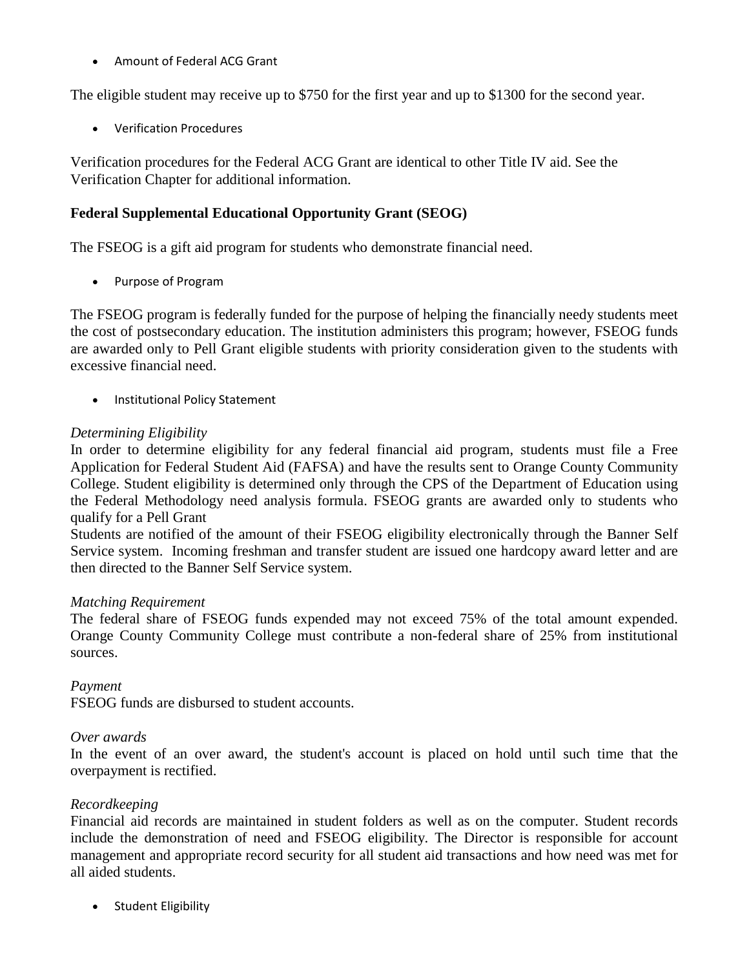• Amount of Federal ACG Grant

The eligible student may receive up to \$750 for the first year and up to \$1300 for the second year.

• Verification Procedures

Verification procedures for the Federal ACG Grant are identical to other Title IV aid. See the Verification Chapter for additional information.

#### **Federal Supplemental Educational Opportunity Grant (SEOG)**

The FSEOG is a gift aid program for students who demonstrate financial need.

• Purpose of Program

The FSEOG program is federally funded for the purpose of helping the financially needy students meet the cost of postsecondary education. The institution administers this program; however, FSEOG funds are awarded only to Pell Grant eligible students with priority consideration given to the students with excessive financial need.

• Institutional Policy Statement

#### *Determining Eligibility*

In order to determine eligibility for any federal financial aid program, students must file a Free Application for Federal Student Aid (FAFSA) and have the results sent to Orange County Community College. Student eligibility is determined only through the CPS of the Department of Education using the Federal Methodology need analysis formula. FSEOG grants are awarded only to students who qualify for a Pell Grant

Students are notified of the amount of their FSEOG eligibility electronically through the Banner Self Service system. Incoming freshman and transfer student are issued one hardcopy award letter and are then directed to the Banner Self Service system.

#### *Matching Requirement*

The federal share of FSEOG funds expended may not exceed 75% of the total amount expended. Orange County Community College must contribute a non-federal share of 25% from institutional sources.

#### *Payment*

FSEOG funds are disbursed to student accounts.

#### *Over awards*

In the event of an over award, the student's account is placed on hold until such time that the overpayment is rectified.

#### *Recordkeeping*

Financial aid records are maintained in student folders as well as on the computer. Student records include the demonstration of need and FSEOG eligibility. The Director is responsible for account management and appropriate record security for all student aid transactions and how need was met for all aided students.

• Student Eligibility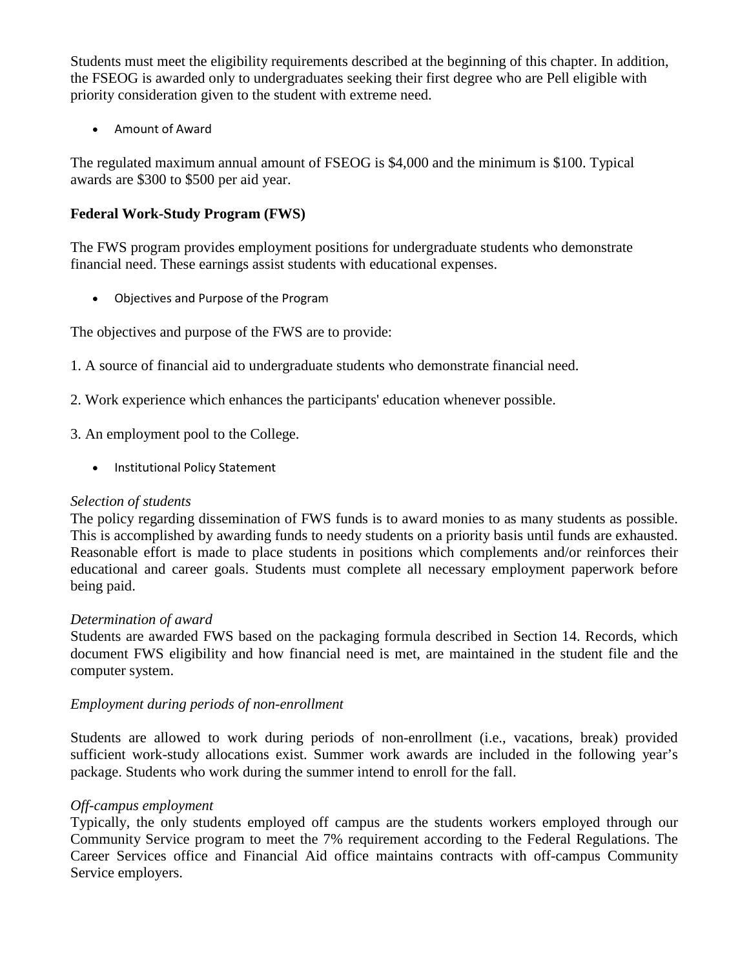Students must meet the eligibility requirements described at the beginning of this chapter. In addition, the FSEOG is awarded only to undergraduates seeking their first degree who are Pell eligible with priority consideration given to the student with extreme need.

• Amount of Award

The regulated maximum annual amount of FSEOG is \$4,000 and the minimum is \$100. Typical awards are \$300 to \$500 per aid year.

#### **Federal Work-Study Program (FWS)**

The FWS program provides employment positions for undergraduate students who demonstrate financial need. These earnings assist students with educational expenses.

• Objectives and Purpose of the Program

The objectives and purpose of the FWS are to provide:

1. A source of financial aid to undergraduate students who demonstrate financial need.

- 2. Work experience which enhances the participants' education whenever possible.
- 3. An employment pool to the College.
	- Institutional Policy Statement

#### *Selection of students*

The policy regarding dissemination of FWS funds is to award monies to as many students as possible. This is accomplished by awarding funds to needy students on a priority basis until funds are exhausted. Reasonable effort is made to place students in positions which complements and/or reinforces their educational and career goals. Students must complete all necessary employment paperwork before being paid.

#### *Determination of award*

Students are awarded FWS based on the packaging formula described in Section 14. Records, which document FWS eligibility and how financial need is met, are maintained in the student file and the computer system.

#### *Employment during periods of non-enrollment*

Students are allowed to work during periods of non-enrollment (i.e., vacations, break) provided sufficient work-study allocations exist. Summer work awards are included in the following year's package. Students who work during the summer intend to enroll for the fall.

#### *Off-campus employment*

Typically, the only students employed off campus are the students workers employed through our Community Service program to meet the 7% requirement according to the Federal Regulations. The Career Services office and Financial Aid office maintains contracts with off-campus Community Service employers.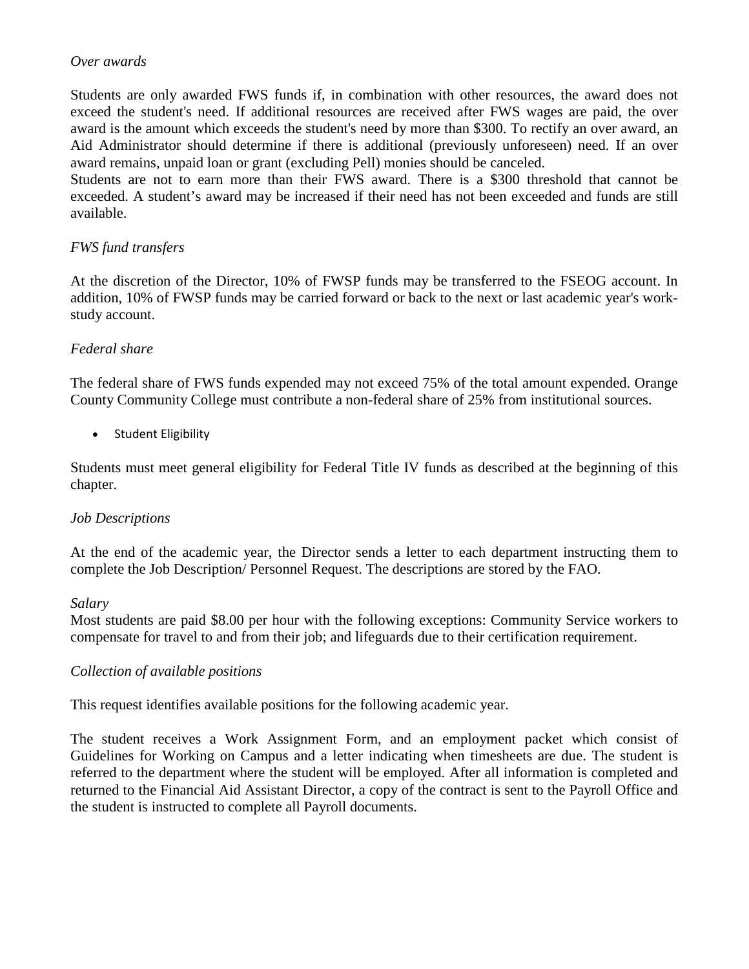#### *Over awards*

Students are only awarded FWS funds if, in combination with other resources, the award does not exceed the student's need. If additional resources are received after FWS wages are paid, the over award is the amount which exceeds the student's need by more than \$300. To rectify an over award, an Aid Administrator should determine if there is additional (previously unforeseen) need. If an over award remains, unpaid loan or grant (excluding Pell) monies should be canceled.

Students are not to earn more than their FWS award. There is a \$300 threshold that cannot be exceeded. A student's award may be increased if their need has not been exceeded and funds are still available.

#### *FWS fund transfers*

At the discretion of the Director, 10% of FWSP funds may be transferred to the FSEOG account. In addition, 10% of FWSP funds may be carried forward or back to the next or last academic year's workstudy account.

#### *Federal share*

The federal share of FWS funds expended may not exceed 75% of the total amount expended. Orange County Community College must contribute a non-federal share of 25% from institutional sources.

• Student Eligibility

Students must meet general eligibility for Federal Title IV funds as described at the beginning of this chapter.

#### *Job Descriptions*

At the end of the academic year, the Director sends a letter to each department instructing them to complete the Job Description/ Personnel Request. The descriptions are stored by the FAO.

#### *Salary*

Most students are paid \$8.00 per hour with the following exceptions: Community Service workers to compensate for travel to and from their job; and lifeguards due to their certification requirement.

#### *Collection of available positions*

This request identifies available positions for the following academic year.

The student receives a Work Assignment Form, and an employment packet which consist of Guidelines for Working on Campus and a letter indicating when timesheets are due. The student is referred to the department where the student will be employed. After all information is completed and returned to the Financial Aid Assistant Director, a copy of the contract is sent to the Payroll Office and the student is instructed to complete all Payroll documents.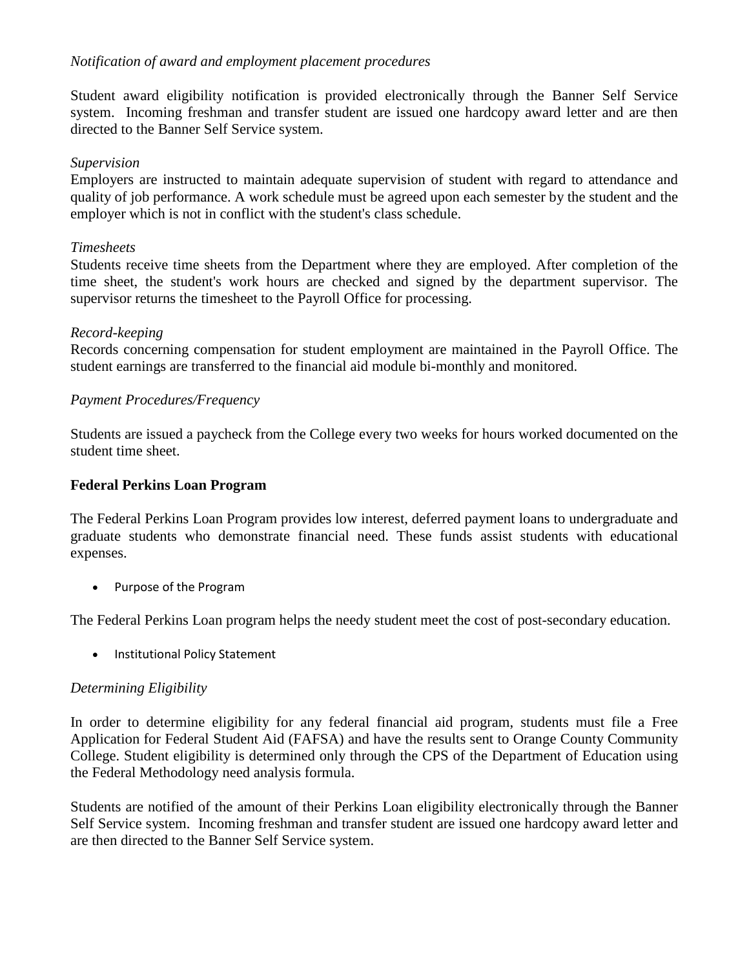#### *Notification of award and employment placement procedures*

Student award eligibility notification is provided electronically through the Banner Self Service system. Incoming freshman and transfer student are issued one hardcopy award letter and are then directed to the Banner Self Service system.

#### *Supervision*

Employers are instructed to maintain adequate supervision of student with regard to attendance and quality of job performance. A work schedule must be agreed upon each semester by the student and the employer which is not in conflict with the student's class schedule.

#### *Timesheets*

Students receive time sheets from the Department where they are employed. After completion of the time sheet, the student's work hours are checked and signed by the department supervisor. The supervisor returns the timesheet to the Payroll Office for processing.

#### *Record-keeping*

Records concerning compensation for student employment are maintained in the Payroll Office. The student earnings are transferred to the financial aid module bi-monthly and monitored.

#### *Payment Procedures/Frequency*

Students are issued a paycheck from the College every two weeks for hours worked documented on the student time sheet.

#### **Federal Perkins Loan Program**

The Federal Perkins Loan Program provides low interest, deferred payment loans to undergraduate and graduate students who demonstrate financial need. These funds assist students with educational expenses.

• Purpose of the Program

The Federal Perkins Loan program helps the needy student meet the cost of post-secondary education.

• Institutional Policy Statement

#### *Determining Eligibility*

In order to determine eligibility for any federal financial aid program, students must file a Free Application for Federal Student Aid (FAFSA) and have the results sent to Orange County Community College. Student eligibility is determined only through the CPS of the Department of Education using the Federal Methodology need analysis formula.

Students are notified of the amount of their Perkins Loan eligibility electronically through the Banner Self Service system. Incoming freshman and transfer student are issued one hardcopy award letter and are then directed to the Banner Self Service system.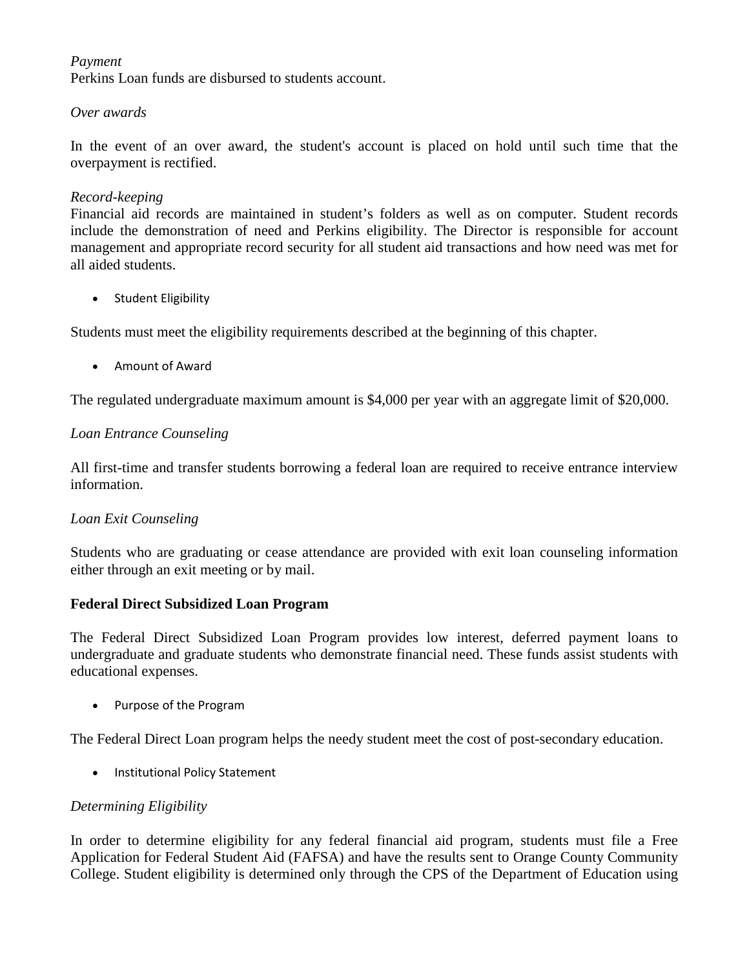#### *Payment*

Perkins Loan funds are disbursed to students account.

#### *Over awards*

In the event of an over award, the student's account is placed on hold until such time that the overpayment is rectified.

#### *Record-keeping*

Financial aid records are maintained in student's folders as well as on computer. Student records include the demonstration of need and Perkins eligibility. The Director is responsible for account management and appropriate record security for all student aid transactions and how need was met for all aided students.

• Student Eligibility

Students must meet the eligibility requirements described at the beginning of this chapter.

• Amount of Award

The regulated undergraduate maximum amount is \$4,000 per year with an aggregate limit of \$20,000.

#### *Loan Entrance Counseling*

All first-time and transfer students borrowing a federal loan are required to receive entrance interview information.

#### *Loan Exit Counseling*

Students who are graduating or cease attendance are provided with exit loan counseling information either through an exit meeting or by mail.

#### **Federal Direct Subsidized Loan Program**

The Federal Direct Subsidized Loan Program provides low interest, deferred payment loans to undergraduate and graduate students who demonstrate financial need. These funds assist students with educational expenses.

• Purpose of the Program

The Federal Direct Loan program helps the needy student meet the cost of post-secondary education.

• Institutional Policy Statement

#### *Determining Eligibility*

In order to determine eligibility for any federal financial aid program, students must file a Free Application for Federal Student Aid (FAFSA) and have the results sent to Orange County Community College. Student eligibility is determined only through the CPS of the Department of Education using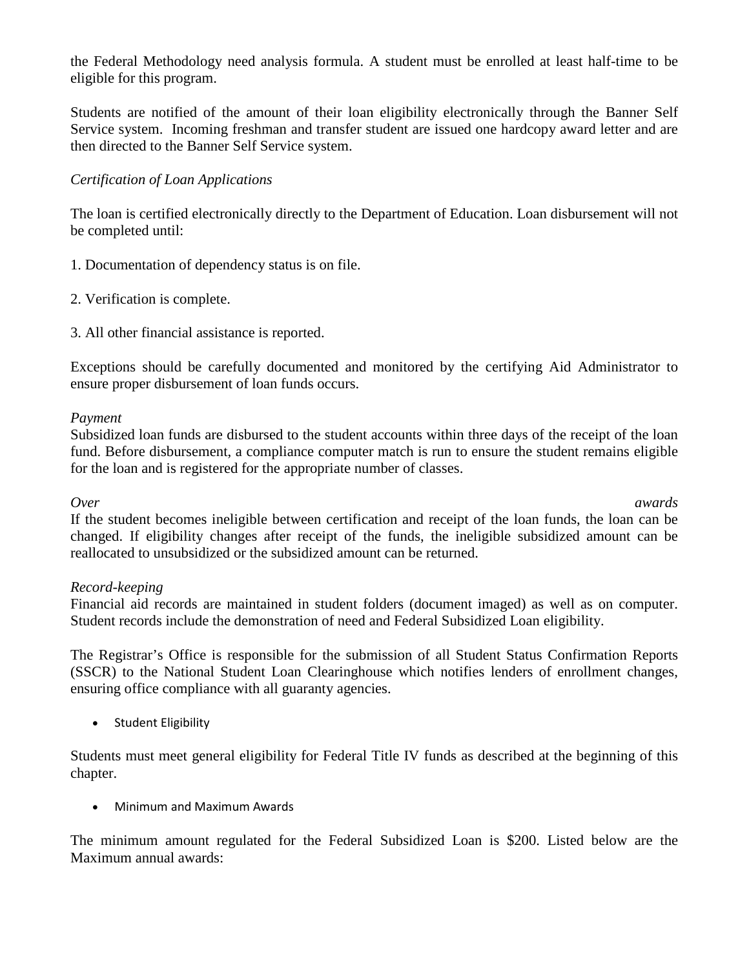the Federal Methodology need analysis formula. A student must be enrolled at least half-time to be eligible for this program.

Students are notified of the amount of their loan eligibility electronically through the Banner Self Service system. Incoming freshman and transfer student are issued one hardcopy award letter and are then directed to the Banner Self Service system.

#### *Certification of Loan Applications*

The loan is certified electronically directly to the Department of Education. Loan disbursement will not be completed until:

- 1. Documentation of dependency status is on file.
- 2. Verification is complete.
- 3. All other financial assistance is reported.

Exceptions should be carefully documented and monitored by the certifying Aid Administrator to ensure proper disbursement of loan funds occurs.

#### *Payment*

Subsidized loan funds are disbursed to the student accounts within three days of the receipt of the loan fund. Before disbursement, a compliance computer match is run to ensure the student remains eligible for the loan and is registered for the appropriate number of classes.

*Over awards* If the student becomes ineligible between certification and receipt of the loan funds, the loan can be changed. If eligibility changes after receipt of the funds, the ineligible subsidized amount can be reallocated to unsubsidized or the subsidized amount can be returned.

#### *Record-keeping*

Financial aid records are maintained in student folders (document imaged) as well as on computer. Student records include the demonstration of need and Federal Subsidized Loan eligibility.

The Registrar's Office is responsible for the submission of all Student Status Confirmation Reports (SSCR) to the National Student Loan Clearinghouse which notifies lenders of enrollment changes, ensuring office compliance with all guaranty agencies.

• Student Eligibility

Students must meet general eligibility for Federal Title IV funds as described at the beginning of this chapter.

• Minimum and Maximum Awards

The minimum amount regulated for the Federal Subsidized Loan is \$200. Listed below are the Maximum annual awards: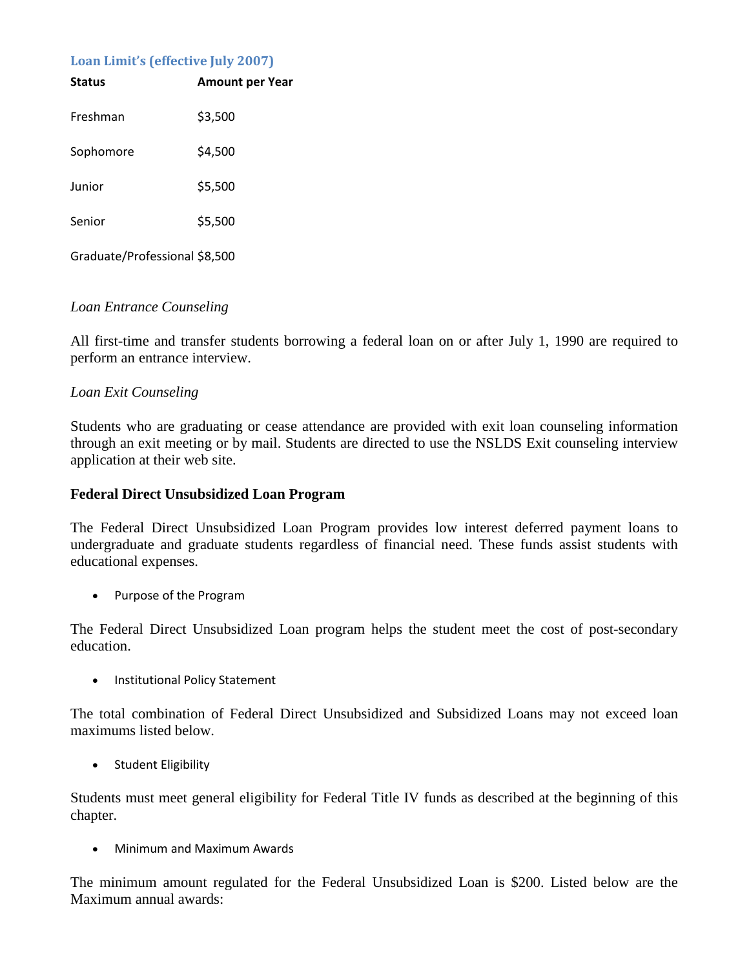#### **Loan Limit's (effective July 2007)**

| <b>Status</b>                 | <b>Amount per Year</b> |
|-------------------------------|------------------------|
| Freshman                      | \$3,500                |
| Sophomore                     | \$4,500                |
| Junior                        | \$5,500                |
| Senior                        | \$5,500                |
| Graduate/Professional \$8,500 |                        |

#### *Loan Entrance Counseling*

All first-time and transfer students borrowing a federal loan on or after July 1, 1990 are required to perform an entrance interview.

#### *Loan Exit Counseling*

Students who are graduating or cease attendance are provided with exit loan counseling information through an exit meeting or by mail. Students are directed to use the NSLDS Exit counseling interview application at their web site.

#### **Federal Direct Unsubsidized Loan Program**

The Federal Direct Unsubsidized Loan Program provides low interest deferred payment loans to undergraduate and graduate students regardless of financial need. These funds assist students with educational expenses.

• Purpose of the Program

The Federal Direct Unsubsidized Loan program helps the student meet the cost of post-secondary education.

• Institutional Policy Statement

The total combination of Federal Direct Unsubsidized and Subsidized Loans may not exceed loan maximums listed below.

• Student Eligibility

Students must meet general eligibility for Federal Title IV funds as described at the beginning of this chapter.

• Minimum and Maximum Awards

The minimum amount regulated for the Federal Unsubsidized Loan is \$200. Listed below are the Maximum annual awards: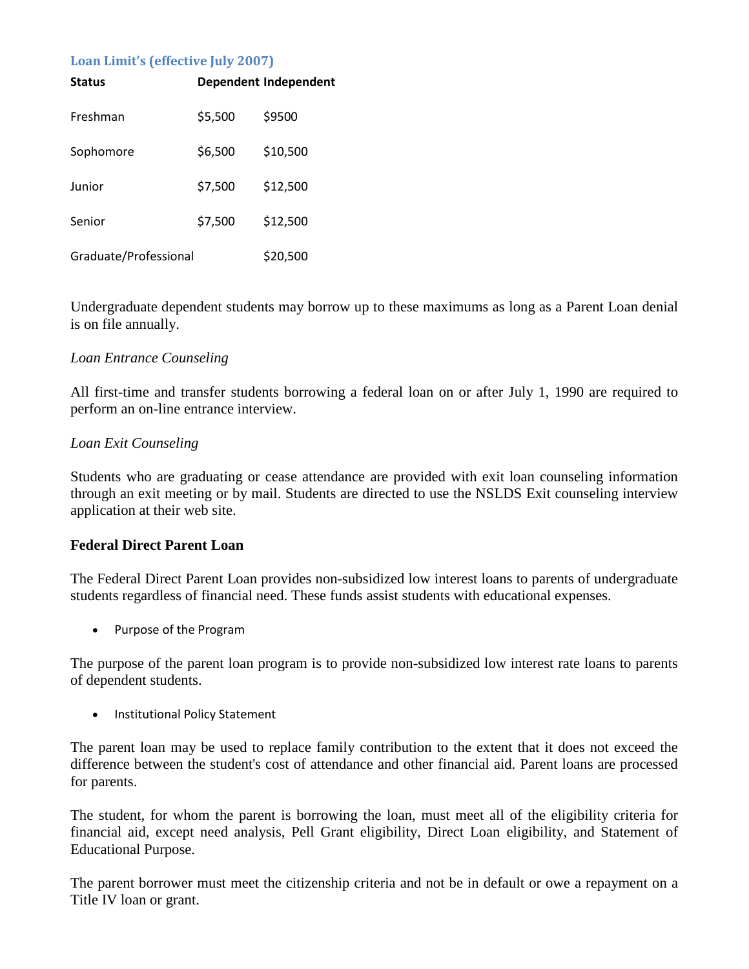#### **Loan Limit's (effective July 2007)**

| <b>Status</b>         |         | <b>Dependent Independent</b> |
|-----------------------|---------|------------------------------|
| Freshman              | \$5,500 | \$9500                       |
| Sophomore             | \$6,500 | \$10,500                     |
| Junior                | \$7,500 | \$12,500                     |
| Senior                | \$7,500 | \$12,500                     |
| Graduate/Professional |         | \$20,500                     |

Undergraduate dependent students may borrow up to these maximums as long as a Parent Loan denial is on file annually.

#### *Loan Entrance Counseling*

All first-time and transfer students borrowing a federal loan on or after July 1, 1990 are required to perform an on-line entrance interview.

#### *Loan Exit Counseling*

Students who are graduating or cease attendance are provided with exit loan counseling information through an exit meeting or by mail. Students are directed to use the NSLDS Exit counseling interview application at their web site.

#### **Federal Direct Parent Loan**

The Federal Direct Parent Loan provides non-subsidized low interest loans to parents of undergraduate students regardless of financial need. These funds assist students with educational expenses.

• Purpose of the Program

The purpose of the parent loan program is to provide non-subsidized low interest rate loans to parents of dependent students.

• Institutional Policy Statement

The parent loan may be used to replace family contribution to the extent that it does not exceed the difference between the student's cost of attendance and other financial aid. Parent loans are processed for parents.

The student, for whom the parent is borrowing the loan, must meet all of the eligibility criteria for financial aid, except need analysis, Pell Grant eligibility, Direct Loan eligibility, and Statement of Educational Purpose.

The parent borrower must meet the citizenship criteria and not be in default or owe a repayment on a Title IV loan or grant.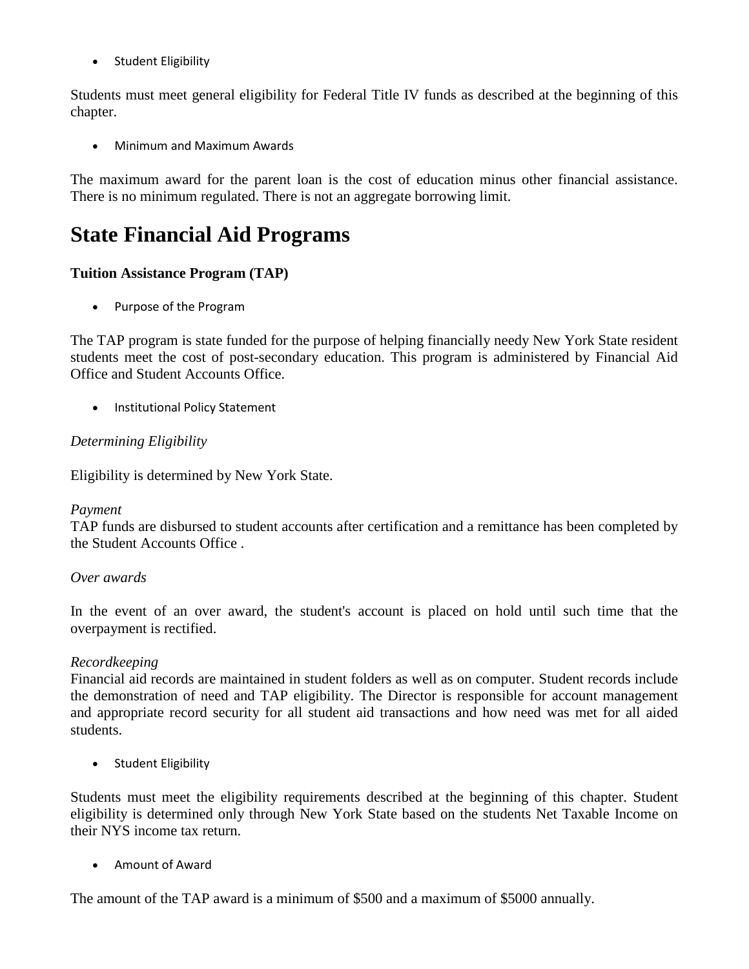• Student Eligibility

Students must meet general eligibility for Federal Title IV funds as described at the beginning of this chapter.

• Minimum and Maximum Awards

The maximum award for the parent loan is the cost of education minus other financial assistance. There is no minimum regulated. There is not an aggregate borrowing limit.

### **State Financial Aid Programs**

#### **Tuition Assistance Program (TAP)**

• Purpose of the Program

The TAP program is state funded for the purpose of helping financially needy New York State resident students meet the cost of post-secondary education. This program is administered by Financial Aid Office and Student Accounts Office.

• Institutional Policy Statement

#### *Determining Eligibility*

Eligibility is determined by New York State.

#### *Payment*

TAP funds are disbursed to student accounts after certification and a remittance has been completed by the Student Accounts Office .

#### *Over awards*

In the event of an over award, the student's account is placed on hold until such time that the overpayment is rectified.

#### *Recordkeeping*

Financial aid records are maintained in student folders as well as on computer. Student records include the demonstration of need and TAP eligibility. The Director is responsible for account management and appropriate record security for all student aid transactions and how need was met for all aided students.

• Student Eligibility

Students must meet the eligibility requirements described at the beginning of this chapter. Student eligibility is determined only through New York State based on the students Net Taxable Income on their NYS income tax return.

• Amount of Award

The amount of the TAP award is a minimum of \$500 and a maximum of \$5000 annually.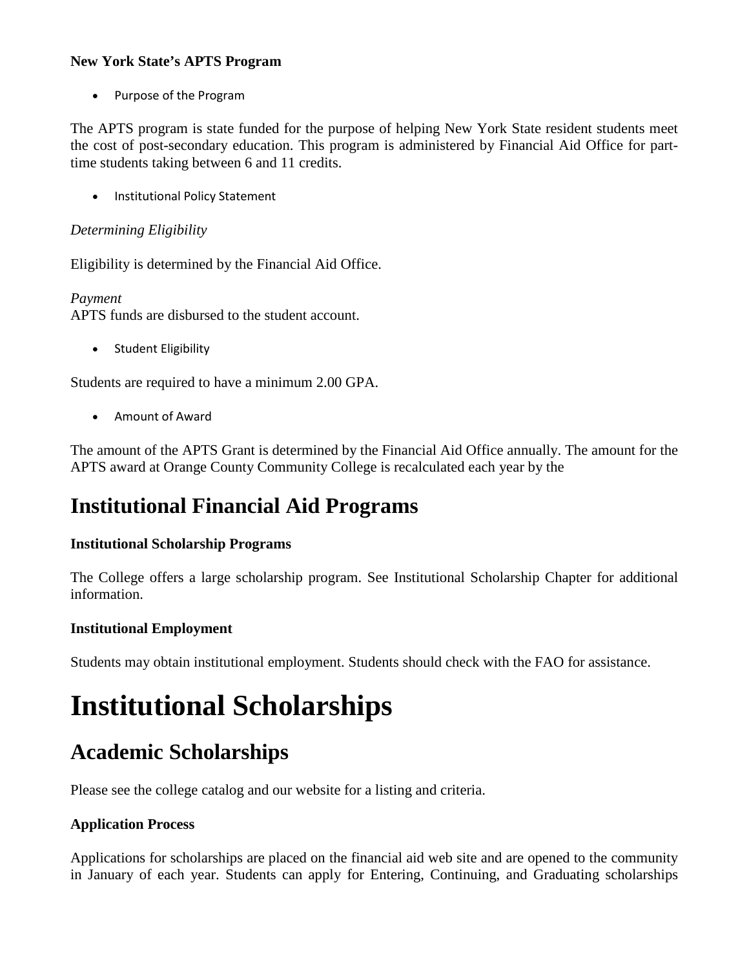#### **New York State's APTS Program**

• Purpose of the Program

The APTS program is state funded for the purpose of helping New York State resident students meet the cost of post-secondary education. This program is administered by Financial Aid Office for parttime students taking between 6 and 11 credits.

• Institutional Policy Statement

#### *Determining Eligibility*

Eligibility is determined by the Financial Aid Office.

#### *Payment*

APTS funds are disbursed to the student account.

• Student Eligibility

Students are required to have a minimum 2.00 GPA.

• Amount of Award

The amount of the APTS Grant is determined by the Financial Aid Office annually. The amount for the APTS award at Orange County Community College is recalculated each year by the

### **Institutional Financial Aid Programs**

#### **Institutional Scholarship Programs**

The College offers a large scholarship program. See Institutional Scholarship Chapter for additional information.

#### **Institutional Employment**

Students may obtain institutional employment. Students should check with the FAO for assistance.

## **Institutional Scholarships**

### **Academic Scholarships**

Please see the college catalog and our website for a listing and criteria.

#### **Application Process**

Applications for scholarships are placed on the financial aid web site and are opened to the community in January of each year. Students can apply for Entering, Continuing, and Graduating scholarships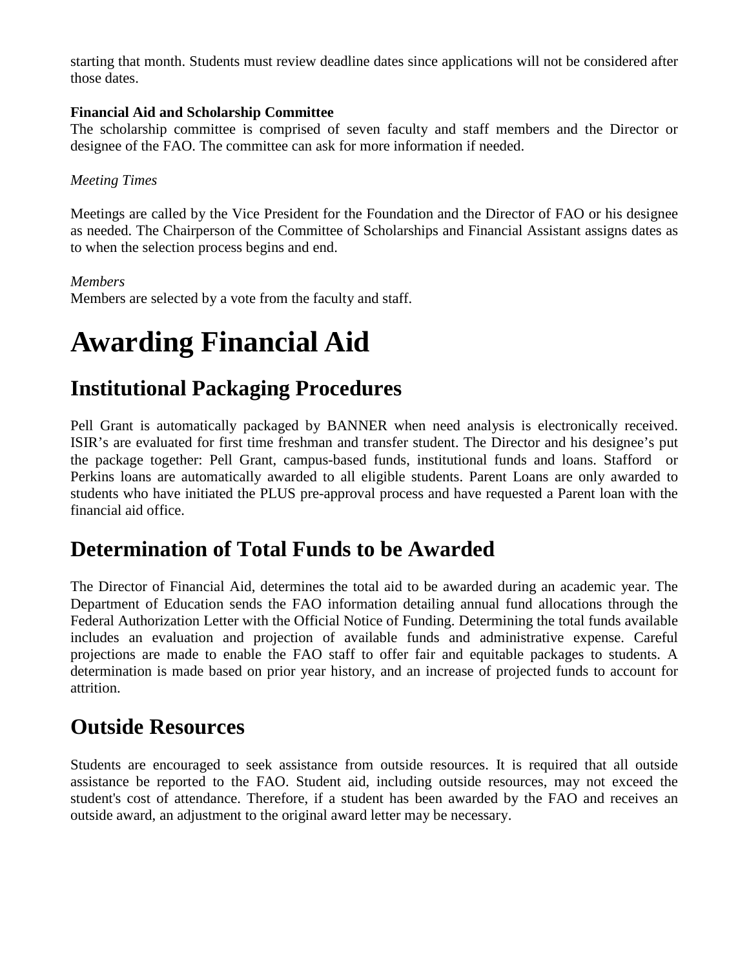starting that month. Students must review deadline dates since applications will not be considered after those dates.

#### **Financial Aid and Scholarship Committee**

The scholarship committee is comprised of seven faculty and staff members and the Director or designee of the FAO. The committee can ask for more information if needed.

#### *Meeting Times*

Meetings are called by the Vice President for the Foundation and the Director of FAO or his designee as needed. The Chairperson of the Committee of Scholarships and Financial Assistant assigns dates as to when the selection process begins and end.

#### *Members*

Members are selected by a vote from the faculty and staff.

## **Awarding Financial Aid**

### **Institutional Packaging Procedures**

Pell Grant is automatically packaged by BANNER when need analysis is electronically received. ISIR's are evaluated for first time freshman and transfer student. The Director and his designee's put the package together: Pell Grant, campus-based funds, institutional funds and loans. Stafford or Perkins loans are automatically awarded to all eligible students. Parent Loans are only awarded to students who have initiated the PLUS pre-approval process and have requested a Parent loan with the financial aid office.

### **Determination of Total Funds to be Awarded**

The Director of Financial Aid, determines the total aid to be awarded during an academic year. The Department of Education sends the FAO information detailing annual fund allocations through the Federal Authorization Letter with the Official Notice of Funding. Determining the total funds available includes an evaluation and projection of available funds and administrative expense. Careful projections are made to enable the FAO staff to offer fair and equitable packages to students. A determination is made based on prior year history, and an increase of projected funds to account for attrition.

### **Outside Resources**

Students are encouraged to seek assistance from outside resources. It is required that all outside assistance be reported to the FAO. Student aid, including outside resources, may not exceed the student's cost of attendance. Therefore, if a student has been awarded by the FAO and receives an outside award, an adjustment to the original award letter may be necessary.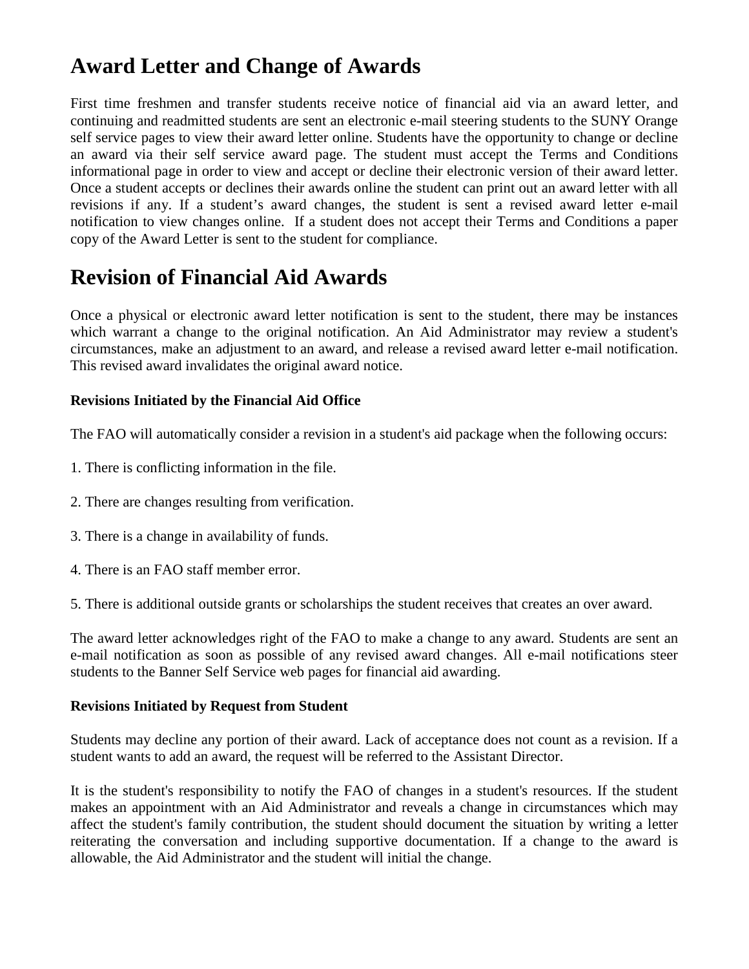### **Award Letter and Change of Awards**

First time freshmen and transfer students receive notice of financial aid via an award letter, and continuing and readmitted students are sent an electronic e-mail steering students to the SUNY Orange self service pages to view their award letter online. Students have the opportunity to change or decline an award via their self service award page. The student must accept the Terms and Conditions informational page in order to view and accept or decline their electronic version of their award letter. Once a student accepts or declines their awards online the student can print out an award letter with all revisions if any. If a student's award changes, the student is sent a revised award letter e-mail notification to view changes online. If a student does not accept their Terms and Conditions a paper copy of the Award Letter is sent to the student for compliance.

### **Revision of Financial Aid Awards**

Once a physical or electronic award letter notification is sent to the student, there may be instances which warrant a change to the original notification. An Aid Administrator may review a student's circumstances, make an adjustment to an award, and release a revised award letter e-mail notification. This revised award invalidates the original award notice.

#### **Revisions Initiated by the Financial Aid Office**

The FAO will automatically consider a revision in a student's aid package when the following occurs:

- 1. There is conflicting information in the file.
- 2. There are changes resulting from verification.
- 3. There is a change in availability of funds.
- 4. There is an FAO staff member error.

5. There is additional outside grants or scholarships the student receives that creates an over award.

The award letter acknowledges right of the FAO to make a change to any award. Students are sent an e-mail notification as soon as possible of any revised award changes. All e-mail notifications steer students to the Banner Self Service web pages for financial aid awarding.

#### **Revisions Initiated by Request from Student**

Students may decline any portion of their award. Lack of acceptance does not count as a revision. If a student wants to add an award, the request will be referred to the Assistant Director.

It is the student's responsibility to notify the FAO of changes in a student's resources. If the student makes an appointment with an Aid Administrator and reveals a change in circumstances which may affect the student's family contribution, the student should document the situation by writing a letter reiterating the conversation and including supportive documentation. If a change to the award is allowable, the Aid Administrator and the student will initial the change.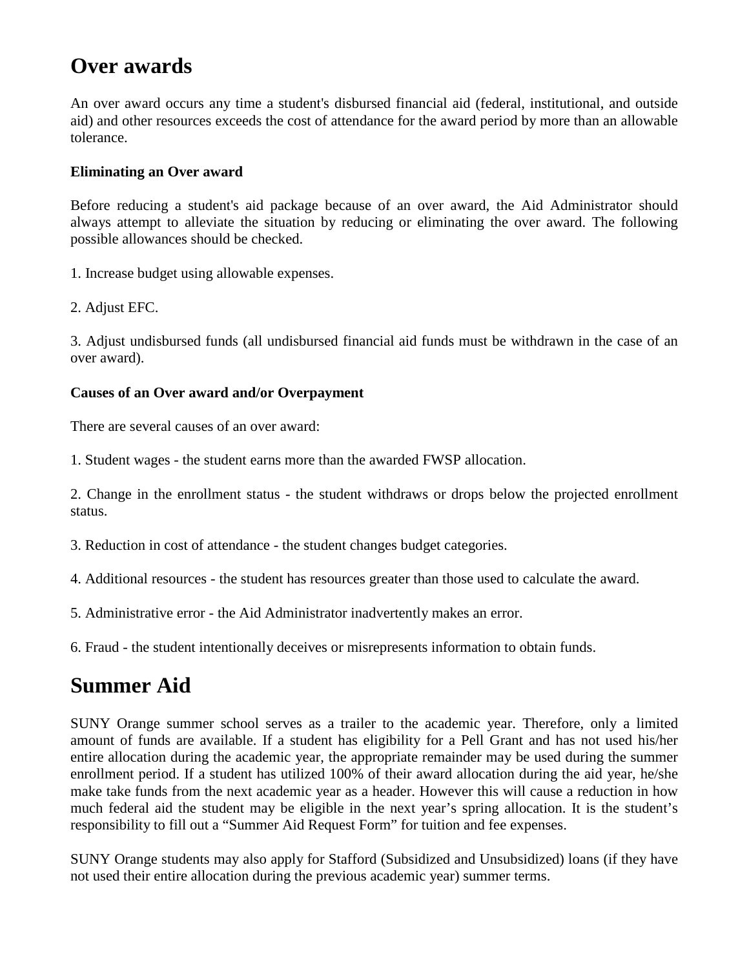### **Over awards**

An over award occurs any time a student's disbursed financial aid (federal, institutional, and outside aid) and other resources exceeds the cost of attendance for the award period by more than an allowable tolerance.

#### **Eliminating an Over award**

Before reducing a student's aid package because of an over award, the Aid Administrator should always attempt to alleviate the situation by reducing or eliminating the over award. The following possible allowances should be checked.

1. Increase budget using allowable expenses.

2. Adjust EFC.

3. Adjust undisbursed funds (all undisbursed financial aid funds must be withdrawn in the case of an over award).

#### **Causes of an Over award and/or Overpayment**

There are several causes of an over award:

1. Student wages - the student earns more than the awarded FWSP allocation.

2. Change in the enrollment status - the student withdraws or drops below the projected enrollment status.

3. Reduction in cost of attendance - the student changes budget categories.

4. Additional resources - the student has resources greater than those used to calculate the award.

5. Administrative error - the Aid Administrator inadvertently makes an error.

6. Fraud - the student intentionally deceives or misrepresents information to obtain funds.

### **Summer Aid**

SUNY Orange summer school serves as a trailer to the academic year. Therefore, only a limited amount of funds are available. If a student has eligibility for a Pell Grant and has not used his/her entire allocation during the academic year, the appropriate remainder may be used during the summer enrollment period. If a student has utilized 100% of their award allocation during the aid year, he/she make take funds from the next academic year as a header. However this will cause a reduction in how much federal aid the student may be eligible in the next year's spring allocation. It is the student's responsibility to fill out a "Summer Aid Request Form" for tuition and fee expenses.

SUNY Orange students may also apply for Stafford (Subsidized and Unsubsidized) loans (if they have not used their entire allocation during the previous academic year) summer terms.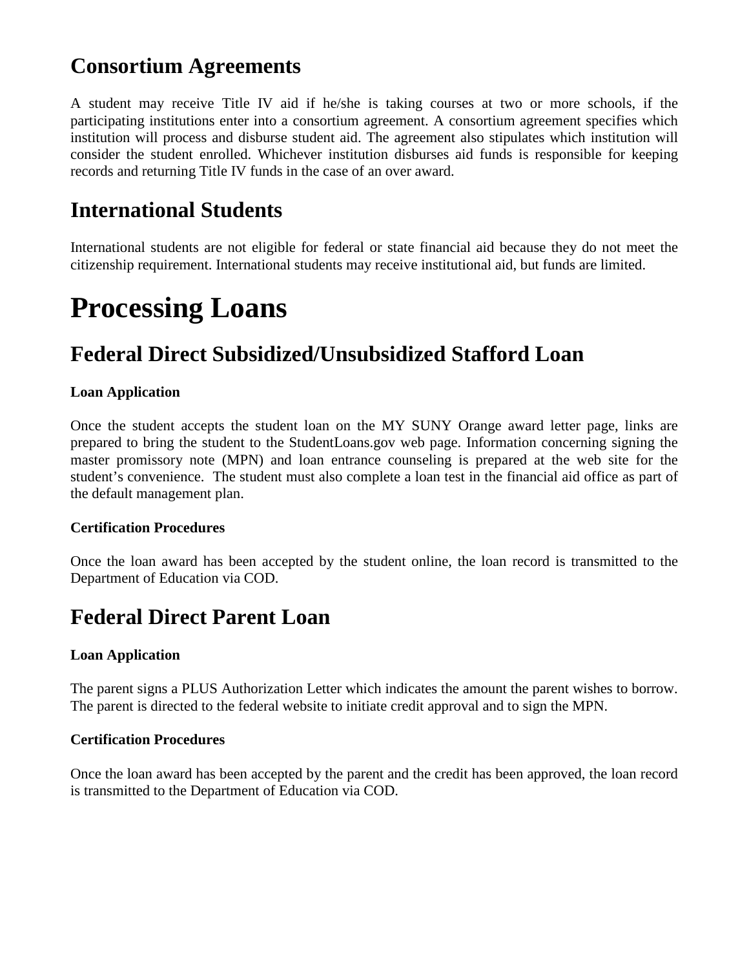### **Consortium Agreements**

A student may receive Title IV aid if he/she is taking courses at two or more schools, if the participating institutions enter into a consortium agreement. A consortium agreement specifies which institution will process and disburse student aid. The agreement also stipulates which institution will consider the student enrolled. Whichever institution disburses aid funds is responsible for keeping records and returning Title IV funds in the case of an over award.

### **International Students**

International students are not eligible for federal or state financial aid because they do not meet the citizenship requirement. International students may receive institutional aid, but funds are limited.

## **Processing Loans**

### **Federal Direct Subsidized/Unsubsidized Stafford Loan**

#### **Loan Application**

Once the student accepts the student loan on the MY SUNY Orange award letter page, links are prepared to bring the student to the StudentLoans.gov web page. Information concerning signing the master promissory note (MPN) and loan entrance counseling is prepared at the web site for the student's convenience. The student must also complete a loan test in the financial aid office as part of the default management plan.

#### **Certification Procedures**

Once the loan award has been accepted by the student online, the loan record is transmitted to the Department of Education via COD.

### **Federal Direct Parent Loan**

#### **Loan Application**

The parent signs a PLUS Authorization Letter which indicates the amount the parent wishes to borrow. The parent is directed to the federal website to initiate credit approval and to sign the MPN.

#### **Certification Procedures**

Once the loan award has been accepted by the parent and the credit has been approved, the loan record is transmitted to the Department of Education via COD.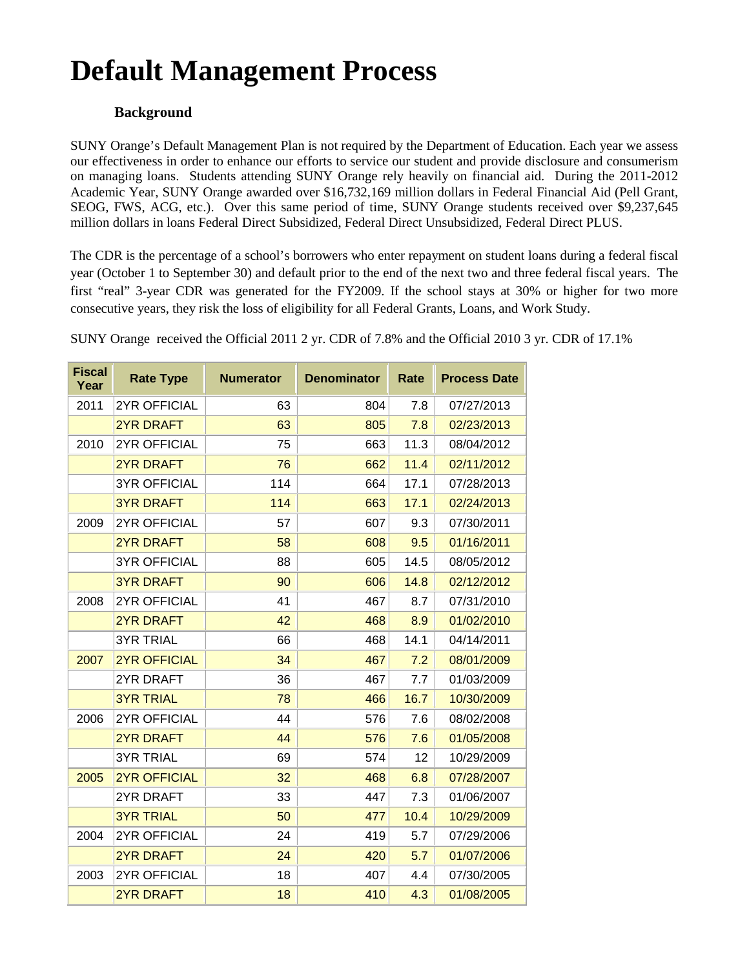## **Default Management Process**

#### **Background**

SUNY Orange's Default Management Plan is not required by the Department of Education. Each year we assess our effectiveness in order to enhance our efforts to service our student and provide disclosure and consumerism on managing loans. Students attending SUNY Orange rely heavily on financial aid. During the 2011-2012 Academic Year, SUNY Orange awarded over \$16,732,169 million dollars in Federal Financial Aid (Pell Grant, SEOG, FWS, ACG, etc.). Over this same period of time, SUNY Orange students received over \$9,237,645 million dollars in loans Federal Direct Subsidized, Federal Direct Unsubsidized, Federal Direct PLUS.

The CDR is the percentage of a school's borrowers who enter repayment on student loans during a federal fiscal year (October 1 to September 30) and default prior to the end of the next two and three federal fiscal years. The first "real" 3-year CDR was generated for the FY2009. If the school stays at 30% or higher for two more consecutive years, they risk the loss of eligibility for all Federal Grants, Loans, and Work Study.

| <b>Fiscal</b><br>Year | <b>Rate Type</b>    | <b>Numerator</b> | <b>Denominator</b> | Rate | <b>Process Date</b> |
|-----------------------|---------------------|------------------|--------------------|------|---------------------|
| 2011                  | <b>2YR OFFICIAL</b> | 63               | 804                | 7.8  | 07/27/2013          |
|                       | <b>2YR DRAFT</b>    | 63               | 805                | 7.8  | 02/23/2013          |
| 2010                  | <b>2YR OFFICIAL</b> | 75               | 663                | 11.3 | 08/04/2012          |
|                       | 2YR DRAFT           | 76               | 662                | 11.4 | 02/11/2012          |
|                       | <b>3YR OFFICIAL</b> | 114              | 664                | 17.1 | 07/28/2013          |
|                       | <b>3YR DRAFT</b>    | 114              | 663                | 17.1 | 02/24/2013          |
| 2009                  | <b>2YR OFFICIAL</b> | 57               | 607                | 9.3  | 07/30/2011          |
|                       | <b>2YR DRAFT</b>    | 58               | 608                | 9.5  | 01/16/2011          |
|                       | <b>3YR OFFICIAL</b> | 88               | 605                | 14.5 | 08/05/2012          |
|                       | <b>3YR DRAFT</b>    | 90               | 606                | 14.8 | 02/12/2012          |
| 2008                  | <b>2YR OFFICIAL</b> | 41               | 467                | 8.7  | 07/31/2010          |
|                       | <b>2YR DRAFT</b>    | 42               | 468                | 8.9  | 01/02/2010          |
|                       | <b>3YR TRIAL</b>    | 66               | 468                | 14.1 | 04/14/2011          |
| 2007                  | <b>2YR OFFICIAL</b> | 34               | 467                | 7.2  | 08/01/2009          |
|                       | 2YR DRAFT           | 36               | 467                | 7.7  | 01/03/2009          |
|                       | <b>3YR TRIAL</b>    | 78               | 466                | 16.7 | 10/30/2009          |
| 2006                  | <b>2YR OFFICIAL</b> | 44               | 576                | 7.6  | 08/02/2008          |
|                       | <b>2YR DRAFT</b>    | 44               | 576                | 7.6  | 01/05/2008          |
|                       | <b>3YR TRIAL</b>    | 69               | 574                | 12   | 10/29/2009          |
| 2005                  | <b>2YR OFFICIAL</b> | 32               | 468                | 6.8  | 07/28/2007          |
|                       | 2YR DRAFT           | 33               | 447                | 7.3  | 01/06/2007          |
|                       | <b>3YR TRIAL</b>    | 50               | 477                | 10.4 | 10/29/2009          |
| 2004                  | <b>2YR OFFICIAL</b> | 24               | 419                | 5.7  | 07/29/2006          |
|                       | <b>2YR DRAFT</b>    | 24               | 420                | 5.7  | 01/07/2006          |
| 2003                  | <b>2YR OFFICIAL</b> | 18               | 407                | 4.4  | 07/30/2005          |
|                       | <b>2YR DRAFT</b>    | 18               | 410                | 4.3  | 01/08/2005          |

SUNY Orange received the Official 2011 2 yr. CDR of 7.8% and the Official 2010 3 yr. CDR of 17.1%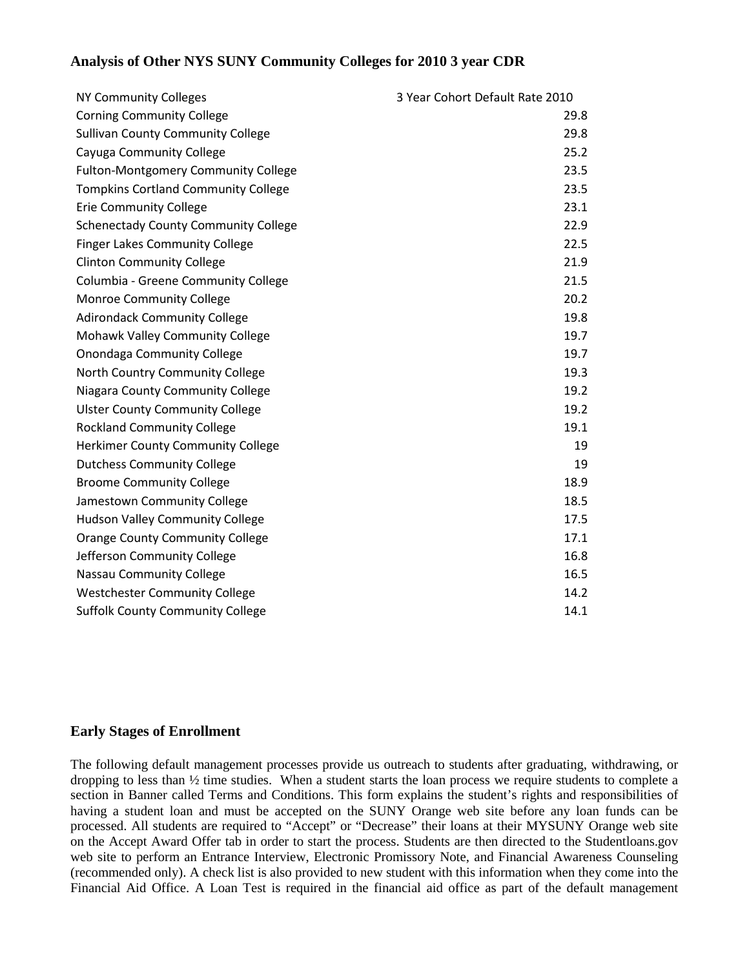#### **Analysis of Other NYS SUNY Community Colleges for 2010 3 year CDR**

| NY Community Colleges                       | 3 Year Cohort Default Rate 2010 |
|---------------------------------------------|---------------------------------|
| <b>Corning Community College</b>            | 29.8                            |
| <b>Sullivan County Community College</b>    | 29.8                            |
| Cayuga Community College                    | 25.2                            |
| <b>Fulton-Montgomery Community College</b>  | 23.5                            |
| <b>Tompkins Cortland Community College</b>  | 23.5                            |
| <b>Erie Community College</b>               | 23.1                            |
| <b>Schenectady County Community College</b> | 22.9                            |
| <b>Finger Lakes Community College</b>       | 22.5                            |
| <b>Clinton Community College</b>            | 21.9                            |
| Columbia - Greene Community College         | 21.5                            |
| <b>Monroe Community College</b>             | 20.2                            |
| <b>Adirondack Community College</b>         | 19.8                            |
| Mohawk Valley Community College             | 19.7                            |
| <b>Onondaga Community College</b>           | 19.7                            |
| North Country Community College             | 19.3                            |
| Niagara County Community College            | 19.2                            |
| <b>Ulster County Community College</b>      | 19.2                            |
| <b>Rockland Community College</b>           | 19.1                            |
| <b>Herkimer County Community College</b>    | 19                              |
| <b>Dutchess Community College</b>           | 19                              |
| <b>Broome Community College</b>             | 18.9                            |
| Jamestown Community College                 | 18.5                            |
| <b>Hudson Valley Community College</b>      | 17.5                            |
| <b>Orange County Community College</b>      | 17.1                            |
| Jefferson Community College                 | 16.8                            |
| Nassau Community College                    | 16.5                            |
| <b>Westchester Community College</b>        | 14.2                            |
| <b>Suffolk County Community College</b>     | 14.1                            |

#### **Early Stages of Enrollment**

The following default management processes provide us outreach to students after graduating, withdrawing, or dropping to less than ½ time studies. When a student starts the loan process we require students to complete a section in Banner called Terms and Conditions. This form explains the student's rights and responsibilities of having a student loan and must be accepted on the SUNY Orange web site before any loan funds can be processed. All students are required to "Accept" or "Decrease" their loans at their MYSUNY Orange web site on the Accept Award Offer tab in order to start the process. Students are then directed to the Studentloans.gov web site to perform an Entrance Interview, Electronic Promissory Note, and Financial Awareness Counseling (recommended only). A check list is also provided to new student with this information when they come into the Financial Aid Office. A Loan Test is required in the financial aid office as part of the default management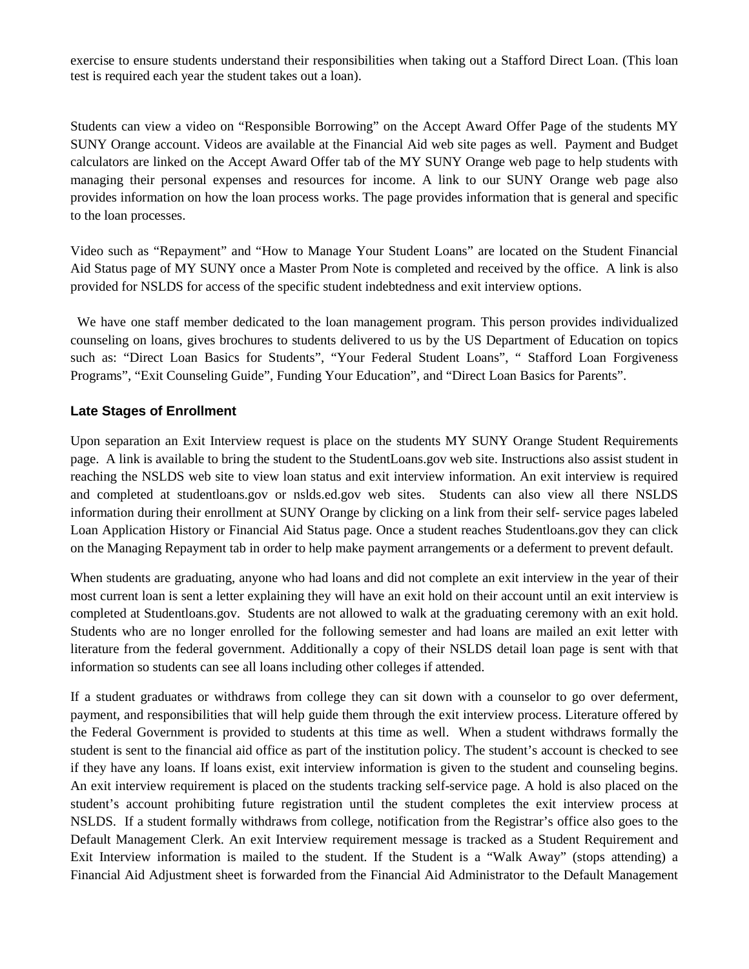exercise to ensure students understand their responsibilities when taking out a Stafford Direct Loan. (This loan test is required each year the student takes out a loan).

Students can view a video on "Responsible Borrowing" on the Accept Award Offer Page of the students MY SUNY Orange account. Videos are available at the Financial Aid web site pages as well. Payment and Budget calculators are linked on the Accept Award Offer tab of the MY SUNY Orange web page to help students with managing their personal expenses and resources for income. A link to our SUNY Orange web page also provides information on how the loan process works. The page provides information that is general and specific to the loan processes.

Video such as "Repayment" and "How to Manage Your Student Loans" are located on the Student Financial Aid Status page of MY SUNY once a Master Prom Note is completed and received by the office. A link is also provided for NSLDS for access of the specific student indebtedness and exit interview options.

 We have one staff member dedicated to the loan management program. This person provides individualized counseling on loans, gives brochures to students delivered to us by the US Department of Education on topics such as: "Direct Loan Basics for Students", "Your Federal Student Loans", " Stafford Loan Forgiveness Programs", "Exit Counseling Guide", Funding Your Education", and "Direct Loan Basics for Parents".

#### **Late Stages of Enrollment**

Upon separation an Exit Interview request is place on the students MY SUNY Orange Student Requirements page. A link is available to bring the student to the StudentLoans.gov web site. Instructions also assist student in reaching the NSLDS web site to view loan status and exit interview information. An exit interview is required and completed at studentloans.gov or nslds.ed.gov web sites. Students can also view all there NSLDS information during their enrollment at SUNY Orange by clicking on a link from their self- service pages labeled Loan Application History or Financial Aid Status page. Once a student reaches Studentloans.gov they can click on the Managing Repayment tab in order to help make payment arrangements or a deferment to prevent default.

When students are graduating, anyone who had loans and did not complete an exit interview in the year of their most current loan is sent a letter explaining they will have an exit hold on their account until an exit interview is completed at Studentloans.gov. Students are not allowed to walk at the graduating ceremony with an exit hold. Students who are no longer enrolled for the following semester and had loans are mailed an exit letter with literature from the federal government. Additionally a copy of their NSLDS detail loan page is sent with that information so students can see all loans including other colleges if attended.

If a student graduates or withdraws from college they can sit down with a counselor to go over deferment, payment, and responsibilities that will help guide them through the exit interview process. Literature offered by the Federal Government is provided to students at this time as well. When a student withdraws formally the student is sent to the financial aid office as part of the institution policy. The student's account is checked to see if they have any loans. If loans exist, exit interview information is given to the student and counseling begins. An exit interview requirement is placed on the students tracking self-service page. A hold is also placed on the student's account prohibiting future registration until the student completes the exit interview process at NSLDS. If a student formally withdraws from college, notification from the Registrar's office also goes to the Default Management Clerk. An exit Interview requirement message is tracked as a Student Requirement and Exit Interview information is mailed to the student. If the Student is a "Walk Away" (stops attending) a Financial Aid Adjustment sheet is forwarded from the Financial Aid Administrator to the Default Management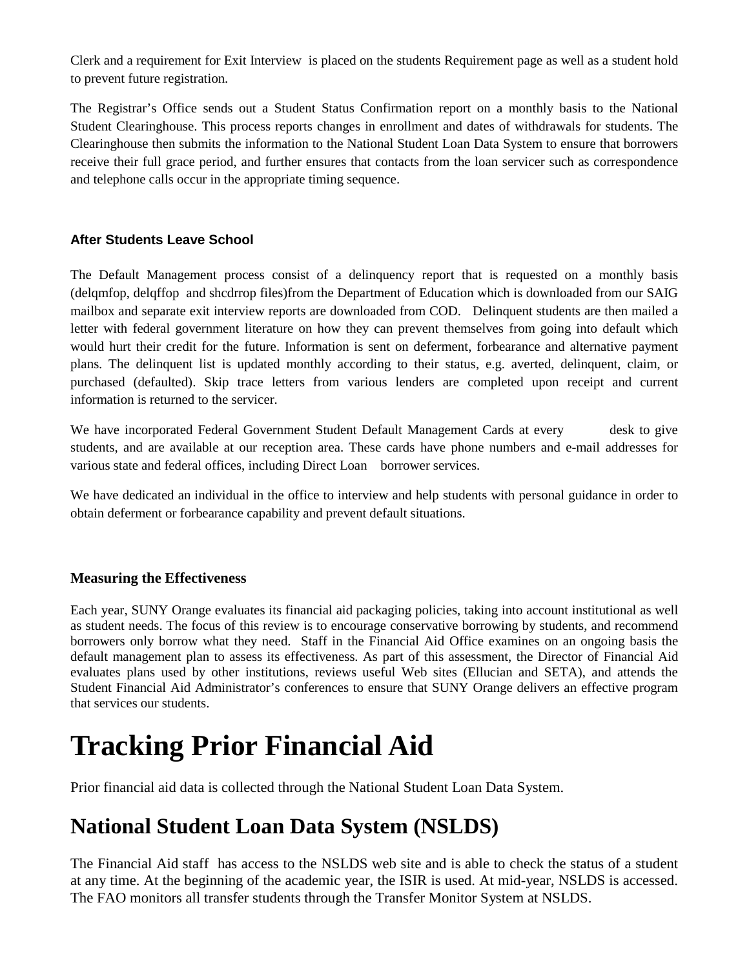Clerk and a requirement for Exit Interview is placed on the students Requirement page as well as a student hold to prevent future registration.

The Registrar's Office sends out a Student Status Confirmation report on a monthly basis to the National Student Clearinghouse. This process reports changes in enrollment and dates of withdrawals for students. The Clearinghouse then submits the information to the National Student Loan Data System to ensure that borrowers receive their full grace period, and further ensures that contacts from the loan servicer such as correspondence and telephone calls occur in the appropriate timing sequence.

#### **After Students Leave School**

The Default Management process consist of a delinquency report that is requested on a monthly basis (delqmfop, delqffop and shcdrrop files)from the Department of Education which is downloaded from our SAIG mailbox and separate exit interview reports are downloaded from COD. Delinquent students are then mailed a letter with federal government literature on how they can prevent themselves from going into default which would hurt their credit for the future. Information is sent on deferment, forbearance and alternative payment plans. The delinquent list is updated monthly according to their status, e.g. averted, delinquent, claim, or purchased (defaulted). Skip trace letters from various lenders are completed upon receipt and current information is returned to the servicer.

We have incorporated Federal Government Student Default Management Cards at every desk to give students, and are available at our reception area. These cards have phone numbers and e-mail addresses for various state and federal offices, including Direct Loan borrower services.

We have dedicated an individual in the office to interview and help students with personal guidance in order to obtain deferment or forbearance capability and prevent default situations.

#### **Measuring the Effectiveness**

Each year, SUNY Orange evaluates its financial aid packaging policies, taking into account institutional as well as student needs. The focus of this review is to encourage conservative borrowing by students, and recommend borrowers only borrow what they need. Staff in the Financial Aid Office examines on an ongoing basis the default management plan to assess its effectiveness. As part of this assessment, the Director of Financial Aid evaluates plans used by other institutions, reviews useful Web sites (Ellucian and SETA), and attends the Student Financial Aid Administrator's conferences to ensure that SUNY Orange delivers an effective program that services our students.

## **Tracking Prior Financial Aid**

Prior financial aid data is collected through the National Student Loan Data System.

### **National Student Loan Data System (NSLDS)**

The Financial Aid staff has access to the NSLDS web site and is able to check the status of a student at any time. At the beginning of the academic year, the ISIR is used. At mid-year, NSLDS is accessed. The FAO monitors all transfer students through the Transfer Monitor System at NSLDS.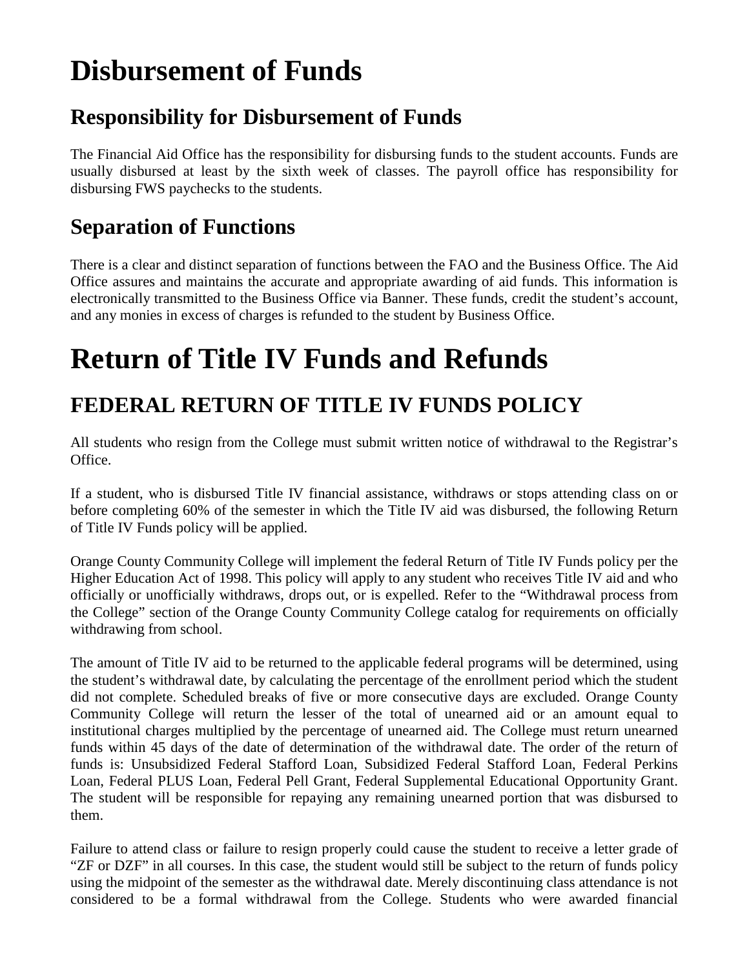## **Disbursement of Funds**

### **Responsibility for Disbursement of Funds**

The Financial Aid Office has the responsibility for disbursing funds to the student accounts. Funds are usually disbursed at least by the sixth week of classes. The payroll office has responsibility for disbursing FWS paychecks to the students.

### **Separation of Functions**

There is a clear and distinct separation of functions between the FAO and the Business Office. The Aid Office assures and maintains the accurate and appropriate awarding of aid funds. This information is electronically transmitted to the Business Office via Banner. These funds, credit the student's account, and any monies in excess of charges is refunded to the student by Business Office.

## **Return of Title IV Funds and Refunds**

## **FEDERAL RETURN OF TITLE IV FUNDS POLICY**

All students who resign from the College must submit written notice of withdrawal to the Registrar's Office.

If a student, who is disbursed Title IV financial assistance, withdraws or stops attending class on or before completing 60% of the semester in which the Title IV aid was disbursed, the following Return of Title IV Funds policy will be applied.

Orange County Community College will implement the federal Return of Title IV Funds policy per the Higher Education Act of 1998. This policy will apply to any student who receives Title IV aid and who officially or unofficially withdraws, drops out, or is expelled. Refer to the "Withdrawal process from the College" section of the Orange County Community College catalog for requirements on officially withdrawing from school.

The amount of Title IV aid to be returned to the applicable federal programs will be determined, using the student's withdrawal date, by calculating the percentage of the enrollment period which the student did not complete. Scheduled breaks of five or more consecutive days are excluded. Orange County Community College will return the lesser of the total of unearned aid or an amount equal to institutional charges multiplied by the percentage of unearned aid. The College must return unearned funds within 45 days of the date of determination of the withdrawal date. The order of the return of funds is: Unsubsidized Federal Stafford Loan, Subsidized Federal Stafford Loan, Federal Perkins Loan, Federal PLUS Loan, Federal Pell Grant, Federal Supplemental Educational Opportunity Grant. The student will be responsible for repaying any remaining unearned portion that was disbursed to them.

Failure to attend class or failure to resign properly could cause the student to receive a letter grade of "ZF or DZF" in all courses. In this case, the student would still be subject to the return of funds policy using the midpoint of the semester as the withdrawal date. Merely discontinuing class attendance is not considered to be a formal withdrawal from the College. Students who were awarded financial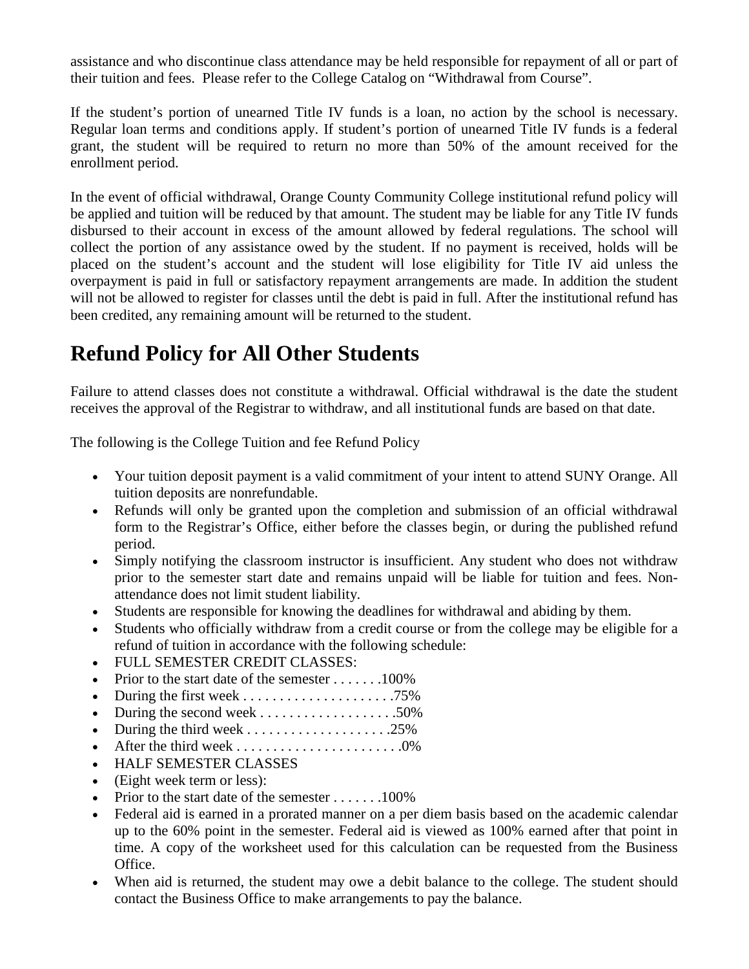assistance and who discontinue class attendance may be held responsible for repayment of all or part of their tuition and fees. Please refer to the College Catalog on "Withdrawal from Course".

If the student's portion of unearned Title IV funds is a loan, no action by the school is necessary. Regular loan terms and conditions apply. If student's portion of unearned Title IV funds is a federal grant, the student will be required to return no more than 50% of the amount received for the enrollment period.

In the event of official withdrawal, Orange County Community College institutional refund policy will be applied and tuition will be reduced by that amount. The student may be liable for any Title IV funds disbursed to their account in excess of the amount allowed by federal regulations. The school will collect the portion of any assistance owed by the student. If no payment is received, holds will be placed on the student's account and the student will lose eligibility for Title IV aid unless the overpayment is paid in full or satisfactory repayment arrangements are made. In addition the student will not be allowed to register for classes until the debt is paid in full. After the institutional refund has been credited, any remaining amount will be returned to the student.

### **Refund Policy for All Other Students**

Failure to attend classes does not constitute a withdrawal. Official withdrawal is the date the student receives the approval of the Registrar to withdraw, and all institutional funds are based on that date.

The following is the College Tuition and fee Refund Policy

- Your tuition deposit payment is a valid commitment of your intent to attend SUNY Orange. All tuition deposits are nonrefundable.
- Refunds will only be granted upon the completion and submission of an official withdrawal form to the Registrar's Office, either before the classes begin, or during the published refund period.
- Simply notifying the classroom instructor is insufficient. Any student who does not withdraw prior to the semester start date and remains unpaid will be liable for tuition and fees. Nonattendance does not limit student liability.
- Students are responsible for knowing the deadlines for withdrawal and abiding by them.
- Students who officially withdraw from a credit course or from the college may be eligible for a refund of tuition in accordance with the following schedule:
- FULL SEMESTER CREDIT CLASSES:
- Prior to the start date of the semester  $\dots \dots 100\%$
- During the first week . . . . . . . . . . . . . . . . . . . . .75%
- During the second week . . . . . . . . . . . . . . . . . . .50%
- During the third week . . . . . . . . . . . . . . . . . . . .25%
- After the third week . . . . . . . . . . . . . . . . . . . . . . .0%
- HALF SEMESTER CLASSES
- (Eight week term or less):
- Prior to the start date of the semester  $\dots \dots 100\%$
- Federal aid is earned in a prorated manner on a per diem basis based on the academic calendar up to the 60% point in the semester. Federal aid is viewed as 100% earned after that point in time. A copy of the worksheet used for this calculation can be requested from the Business Office.
- When aid is returned, the student may owe a debit balance to the college. The student should contact the Business Office to make arrangements to pay the balance.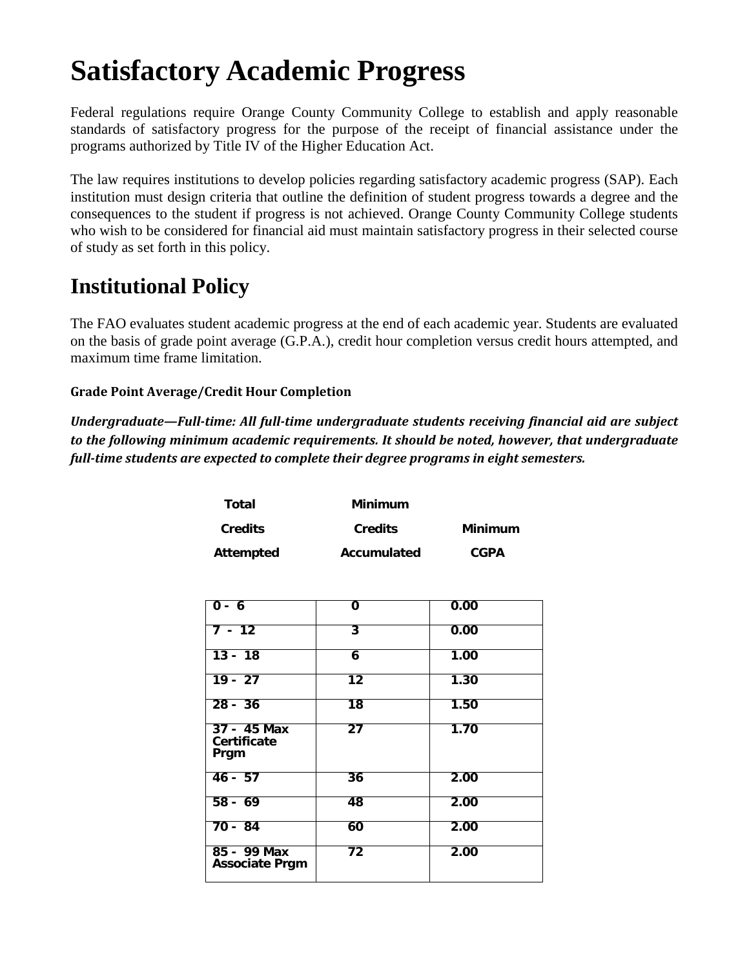## **Satisfactory Academic Progress**

Federal regulations require Orange County Community College to establish and apply reasonable standards of satisfactory progress for the purpose of the receipt of financial assistance under the programs authorized by Title IV of the Higher Education Act.

The law requires institutions to develop policies regarding satisfactory academic progress (SAP). Each institution must design criteria that outline the definition of student progress towards a degree and the consequences to the student if progress is not achieved. Orange County Community College students who wish to be considered for financial aid must maintain satisfactory progress in their selected course of study as set forth in this policy.

### **Institutional Policy**

The FAO evaluates student academic progress at the end of each academic year. Students are evaluated on the basis of grade point average (G.P.A.), credit hour completion versus credit hours attempted, and maximum time frame limitation.

#### **Grade Point Average/Credit Hour Completion**

*Undergraduate—Full-time: All full-time undergraduate students receiving financial aid are subject to the following minimum academic requirements. It should be noted, however, that undergraduate full-time students are expected to complete their degree programs in eight semesters.*

| Total          | Minimum        |                |
|----------------|----------------|----------------|
| <b>Credits</b> | <b>Credits</b> | <b>Minimum</b> |
| Attempted      | Accumulated    | <b>CGPA</b>    |

| $0 - 6$                                   | 0               | 0.00 |
|-------------------------------------------|-----------------|------|
| $7 - 12$                                  | 3               | 0.00 |
| $13 - 18$                                 | 6               | 1.00 |
| $19 - 27$                                 | $12 \,$         | 1.30 |
| $28 - 36$                                 | $\overline{18}$ | 1.50 |
| 37 - 45 Max<br><b>Certificate</b><br>Prgm | $\overline{27}$ | 1.70 |
| $46 - 57$                                 | 36              | 2.00 |
| $58 - 69$                                 | 48              | 2.00 |
| $70 - 84$                                 | 60              | 2.00 |
| 85 - 99 Max<br><b>Associate Prgm</b>      | 72              | 2.00 |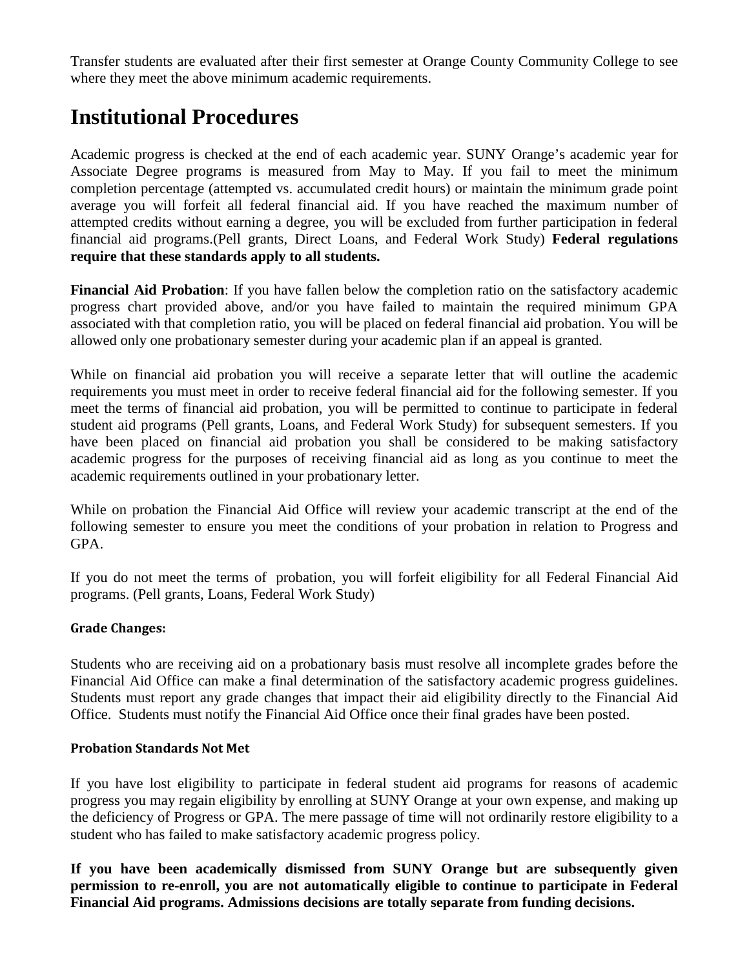Transfer students are evaluated after their first semester at Orange County Community College to see where they meet the above minimum academic requirements.

### **Institutional Procedures**

Academic progress is checked at the end of each academic year. SUNY Orange's academic year for Associate Degree programs is measured from May to May. If you fail to meet the minimum completion percentage (attempted vs. accumulated credit hours) or maintain the minimum grade point average you will forfeit all federal financial aid. If you have reached the maximum number of attempted credits without earning a degree, you will be excluded from further participation in federal financial aid programs.(Pell grants, Direct Loans, and Federal Work Study) **Federal regulations require that these standards apply to all students.** 

**Financial Aid Probation**: If you have fallen below the completion ratio on the satisfactory academic progress chart provided above, and/or you have failed to maintain the required minimum GPA associated with that completion ratio, you will be placed on federal financial aid probation. You will be allowed only one probationary semester during your academic plan if an appeal is granted.

While on financial aid probation you will receive a separate letter that will outline the academic requirements you must meet in order to receive federal financial aid for the following semester. If you meet the terms of financial aid probation, you will be permitted to continue to participate in federal student aid programs (Pell grants, Loans, and Federal Work Study) for subsequent semesters. If you have been placed on financial aid probation you shall be considered to be making satisfactory academic progress for the purposes of receiving financial aid as long as you continue to meet the academic requirements outlined in your probationary letter.

While on probation the Financial Aid Office will review your academic transcript at the end of the following semester to ensure you meet the conditions of your probation in relation to Progress and GPA.

If you do not meet the terms of probation, you will forfeit eligibility for all Federal Financial Aid programs. (Pell grants, Loans, Federal Work Study)

#### **Grade Changes:**

Students who are receiving aid on a probationary basis must resolve all incomplete grades before the Financial Aid Office can make a final determination of the satisfactory academic progress guidelines. Students must report any grade changes that impact their aid eligibility directly to the Financial Aid Office. Students must notify the Financial Aid Office once their final grades have been posted.

#### **Probation Standards Not Met**

If you have lost eligibility to participate in federal student aid programs for reasons of academic progress you may regain eligibility by enrolling at SUNY Orange at your own expense, and making up the deficiency of Progress or GPA. The mere passage of time will not ordinarily restore eligibility to a student who has failed to make satisfactory academic progress policy.

**If you have been academically dismissed from SUNY Orange but are subsequently given permission to re-enroll, you are not automatically eligible to continue to participate in Federal Financial Aid programs. Admissions decisions are totally separate from funding decisions.**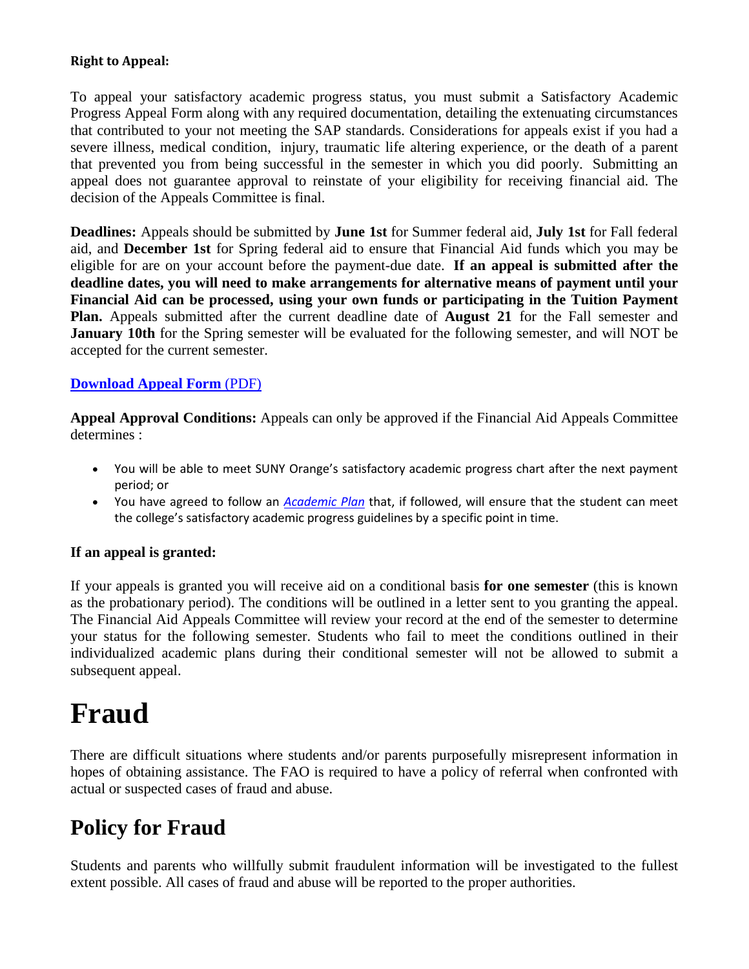#### **Right to Appeal:**

To appeal your satisfactory academic progress status, you must submit a Satisfactory Academic Progress Appeal Form along with any required documentation, detailing the extenuating circumstances that contributed to your not meeting the SAP standards. Considerations for appeals exist if you had a severe illness, medical condition, injury, traumatic life altering experience, or the death of a parent that prevented you from being successful in the semester in which you did poorly. Submitting an appeal does not guarantee approval to reinstate of your eligibility for receiving financial aid. The decision of the Appeals Committee is final.

**Deadlines:** Appeals should be submitted by **June 1st** for Summer federal aid, **July 1st** for Fall federal aid, and **December 1st** for Spring federal aid to ensure that Financial Aid funds which you may be eligible for are on your account before the payment-due date. **If an appeal is submitted after the deadline dates, you will need to make arrangements for alternative means of payment until your Financial Aid can be processed, using your own funds or participating in the Tuition Payment Plan.** Appeals submitted after the current deadline date of **August 21** for the Fall semester and **January 10th** for the Spring semester will be evaluated for the following semester, and will NOT be accepted for the current semester.

#### **[Download Appeal Form](http://www.sunyorange.edu/financialaid/forms/docs/T4A_SAAPacket_nobarcode.pdf)** (PDF)

**Appeal Approval Conditions:** Appeals can only be approved if the Financial Aid Appeals Committee determines :

- You will be able to meet SUNY Orange's satisfactory academic progress chart after the next payment period; or
- You have agreed to follow an *[Academic Plan](http://www.sunyorange.edu/financialaid/docs/planofstudy.docx)* that, if followed, will ensure that the student can meet the college's satisfactory academic progress guidelines by a specific point in time.

#### **If an appeal is granted:**

If your appeals is granted you will receive aid on a conditional basis **for one semester** (this is known as the probationary period). The conditions will be outlined in a letter sent to you granting the appeal. The Financial Aid Appeals Committee will review your record at the end of the semester to determine your status for the following semester. Students who fail to meet the conditions outlined in their individualized academic plans during their conditional semester will not be allowed to submit a subsequent appeal.

## **Fraud**

There are difficult situations where students and/or parents purposefully misrepresent information in hopes of obtaining assistance. The FAO is required to have a policy of referral when confronted with actual or suspected cases of fraud and abuse.

### **Policy for Fraud**

Students and parents who willfully submit fraudulent information will be investigated to the fullest extent possible. All cases of fraud and abuse will be reported to the proper authorities.